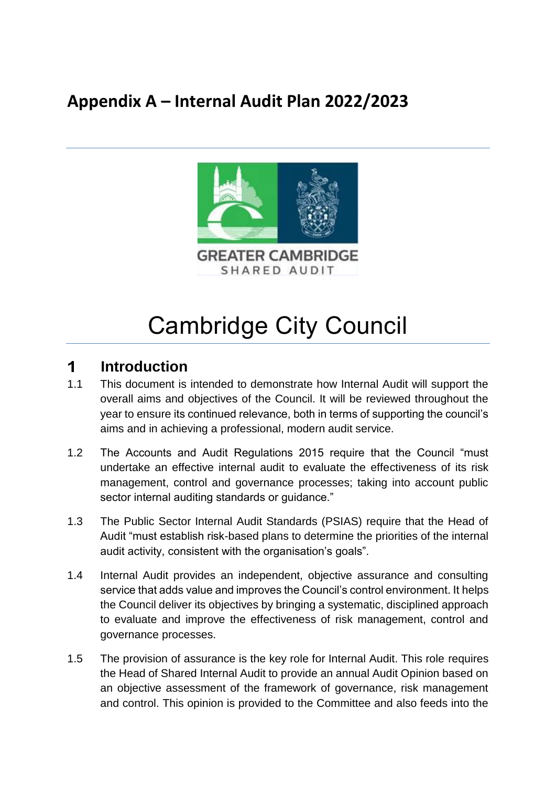## **Appendix A – Internal Audit Plan 2022/2023**



# Cambridge City Council

#### $\mathbf 1$ **Introduction**

- 1.1 This document is intended to demonstrate how Internal Audit will support the overall aims and objectives of the Council. It will be reviewed throughout the year to ensure its continued relevance, both in terms of supporting the council's aims and in achieving a professional, modern audit service.
- 1.2 The Accounts and Audit Regulations 2015 require that the Council "must undertake an effective internal audit to evaluate the effectiveness of its risk management, control and governance processes; taking into account public sector internal auditing standards or guidance."
- 1.3 The Public Sector Internal Audit Standards (PSIAS) require that the Head of Audit "must establish risk-based plans to determine the priorities of the internal audit activity, consistent with the organisation's goals".
- 1.4 Internal Audit provides an independent, objective assurance and consulting service that adds value and improves the Council's control environment. It helps the Council deliver its objectives by bringing a systematic, disciplined approach to evaluate and improve the effectiveness of risk management, control and governance processes.
- 1.5 The provision of assurance is the key role for Internal Audit. This role requires the Head of Shared Internal Audit to provide an annual Audit Opinion based on an objective assessment of the framework of governance, risk management and control. This opinion is provided to the Committee and also feeds into the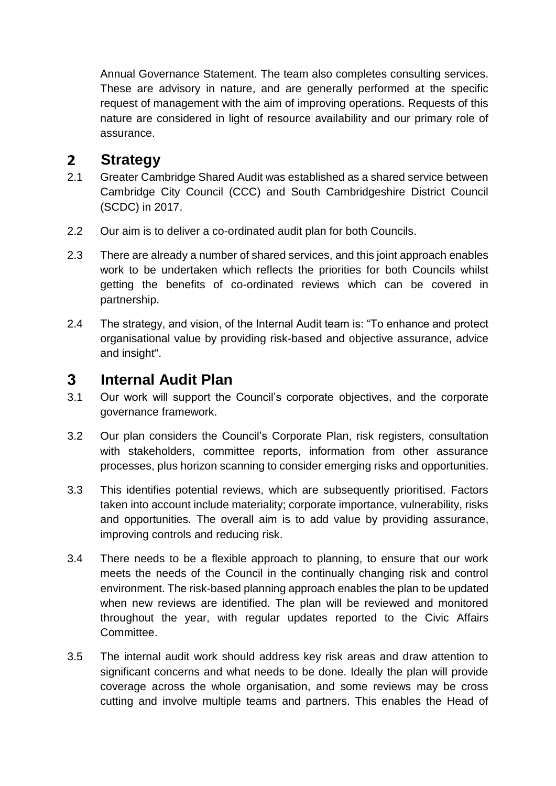Annual Governance Statement. The team also completes consulting services. These are advisory in nature, and are generally performed at the specific request of management with the aim of improving operations. Requests of this nature are considered in light of resource availability and our primary role of assurance.

#### $\overline{2}$ **Strategy**

- 2.1 Greater Cambridge Shared Audit was established as a shared service between Cambridge City Council (CCC) and South Cambridgeshire District Council (SCDC) in 2017.
- 2.2 Our aim is to deliver a co-ordinated audit plan for both Councils.
- 2.3 There are already a number of shared services, and this joint approach enables work to be undertaken which reflects the priorities for both Councils whilst getting the benefits of co-ordinated reviews which can be covered in partnership.
- 2.4 The strategy, and vision, of the Internal Audit team is: "To enhance and protect organisational value by providing risk-based and objective assurance, advice and insight".

#### $3<sup>1</sup>$ **Internal Audit Plan**

- 3.1 Our work will support the Council's corporate objectives, and the corporate governance framework.
- 3.2 Our plan considers the Council's Corporate Plan, risk registers, consultation with stakeholders, committee reports, information from other assurance processes, plus horizon scanning to consider emerging risks and opportunities.
- 3.3 This identifies potential reviews, which are subsequently prioritised. Factors taken into account include materiality; corporate importance, vulnerability, risks and opportunities. The overall aim is to add value by providing assurance, improving controls and reducing risk.
- 3.4 There needs to be a flexible approach to planning, to ensure that our work meets the needs of the Council in the continually changing risk and control environment. The risk-based planning approach enables the plan to be updated when new reviews are identified. The plan will be reviewed and monitored throughout the year, with regular updates reported to the Civic Affairs Committee.
- 3.5 The internal audit work should address key risk areas and draw attention to significant concerns and what needs to be done. Ideally the plan will provide coverage across the whole organisation, and some reviews may be cross cutting and involve multiple teams and partners. This enables the Head of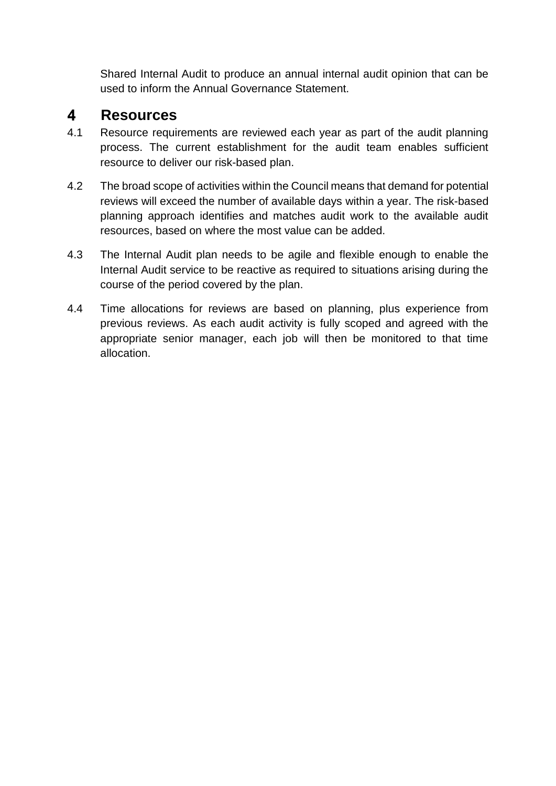Shared Internal Audit to produce an annual internal audit opinion that can be used to inform the Annual Governance Statement.

#### $\blacktriangle$ **Resources**

- 4.1 Resource requirements are reviewed each year as part of the audit planning process. The current establishment for the audit team enables sufficient resource to deliver our risk-based plan.
- 4.2 The broad scope of activities within the Council means that demand for potential reviews will exceed the number of available days within a year. The risk-based planning approach identifies and matches audit work to the available audit resources, based on where the most value can be added.
- 4.3 The Internal Audit plan needs to be agile and flexible enough to enable the Internal Audit service to be reactive as required to situations arising during the course of the period covered by the plan.
- 4.4 Time allocations for reviews are based on planning, plus experience from previous reviews. As each audit activity is fully scoped and agreed with the appropriate senior manager, each job will then be monitored to that time allocation.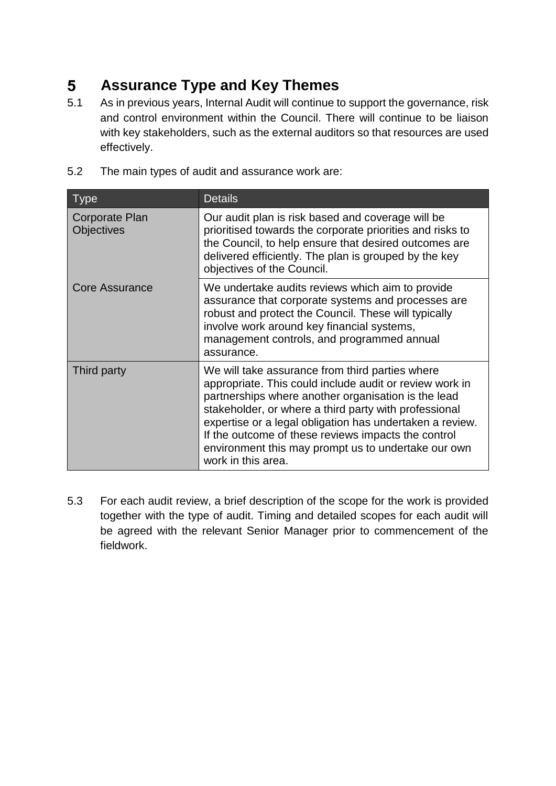#### $5<sup>5</sup>$ **Assurance Type and Key Themes**

- 5.1 As in previous years, Internal Audit will continue to support the governance, risk and control environment within the Council. There will continue to be liaison with key stakeholders, such as the external auditors so that resources are used effectively.
- 5.2 The main types of audit and assurance work are:

| <u>Type</u>                         | <b>Details</b>                                                                                                                                                                                                                                                                                                                                                                                                             |
|-------------------------------------|----------------------------------------------------------------------------------------------------------------------------------------------------------------------------------------------------------------------------------------------------------------------------------------------------------------------------------------------------------------------------------------------------------------------------|
| Corporate Plan<br><b>Objectives</b> | Our audit plan is risk based and coverage will be<br>prioritised towards the corporate priorities and risks to<br>the Council, to help ensure that desired outcomes are<br>delivered efficiently. The plan is grouped by the key<br>objectives of the Council.                                                                                                                                                             |
| <b>Core Assurance</b>               | We undertake audits reviews which aim to provide<br>assurance that corporate systems and processes are<br>robust and protect the Council. These will typically<br>involve work around key financial systems,<br>management controls, and programmed annual<br>assurance.                                                                                                                                                   |
| Third party                         | We will take assurance from third parties where<br>appropriate. This could include audit or review work in<br>partnerships where another organisation is the lead<br>stakeholder, or where a third party with professional<br>expertise or a legal obligation has undertaken a review.<br>If the outcome of these reviews impacts the control<br>environment this may prompt us to undertake our own<br>work in this area. |

5.3 For each audit review, a brief description of the scope for the work is provided together with the type of audit. Timing and detailed scopes for each audit will be agreed with the relevant Senior Manager prior to commencement of the fieldwork.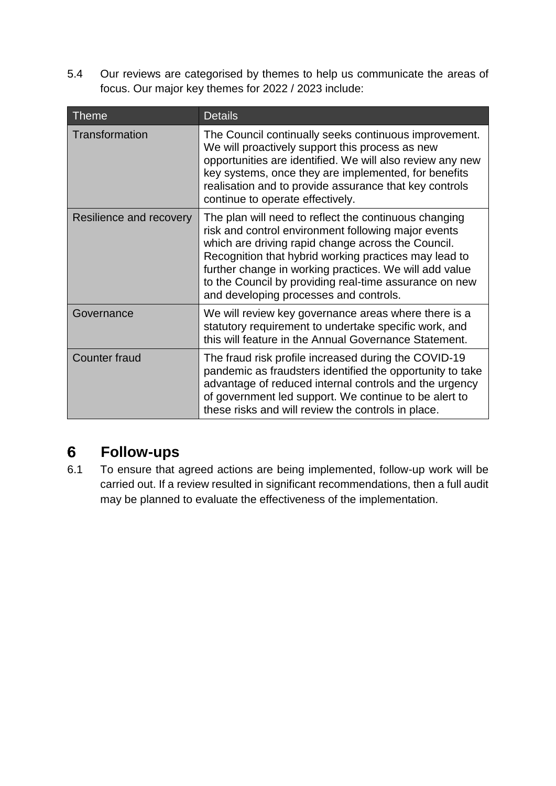5.4 Our reviews are categorised by themes to help us communicate the areas of focus. Our major key themes for 2022 / 2023 include:

| <b>Theme</b>            | <b>Details</b>                                                                                                                                                                                                                                                                                                                                                                            |
|-------------------------|-------------------------------------------------------------------------------------------------------------------------------------------------------------------------------------------------------------------------------------------------------------------------------------------------------------------------------------------------------------------------------------------|
| <b>Transformation</b>   | The Council continually seeks continuous improvement.<br>We will proactively support this process as new<br>opportunities are identified. We will also review any new<br>key systems, once they are implemented, for benefits<br>realisation and to provide assurance that key controls<br>continue to operate effectively.                                                               |
| Resilience and recovery | The plan will need to reflect the continuous changing<br>risk and control environment following major events<br>which are driving rapid change across the Council.<br>Recognition that hybrid working practices may lead to<br>further change in working practices. We will add value<br>to the Council by providing real-time assurance on new<br>and developing processes and controls. |
| Governance              | We will review key governance areas where there is a<br>statutory requirement to undertake specific work, and<br>this will feature in the Annual Governance Statement.                                                                                                                                                                                                                    |
| <b>Counter fraud</b>    | The fraud risk profile increased during the COVID-19<br>pandemic as fraudsters identified the opportunity to take<br>advantage of reduced internal controls and the urgency<br>of government led support. We continue to be alert to<br>these risks and will review the controls in place.                                                                                                |

#### **Follow-ups**  $6\overline{6}$

6.1 To ensure that agreed actions are being implemented, follow-up work will be carried out. If a review resulted in significant recommendations, then a full audit may be planned to evaluate the effectiveness of the implementation.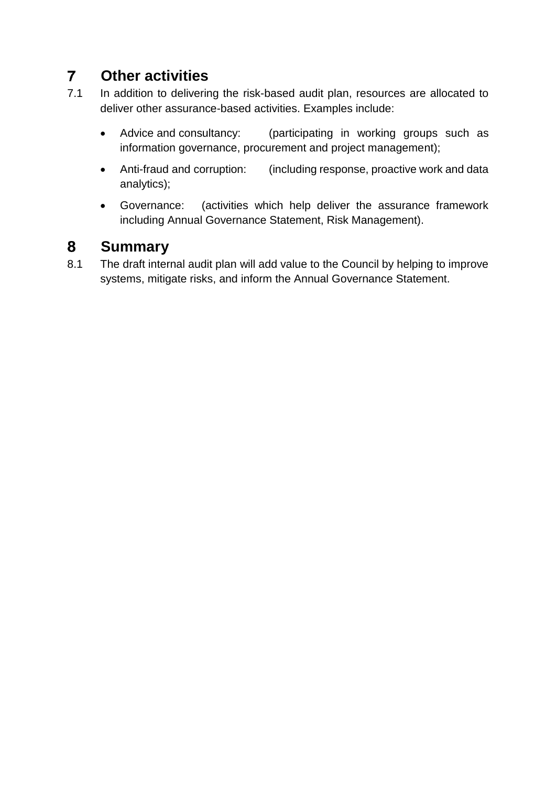#### $\overline{7}$ **Other activities**

- 7.1 In addition to delivering the risk-based audit plan, resources are allocated to deliver other assurance-based activities. Examples include:
	- Advice and consultancy: (participating in working groups such as information governance, procurement and project management);
	- Anti-fraud and corruption: (including response, proactive work and data analytics);
	- Governance: (activities which help deliver the assurance framework including Annual Governance Statement, Risk Management).

#### **Summary** 8

8.1 The draft internal audit plan will add value to the Council by helping to improve systems, mitigate risks, and inform the Annual Governance Statement.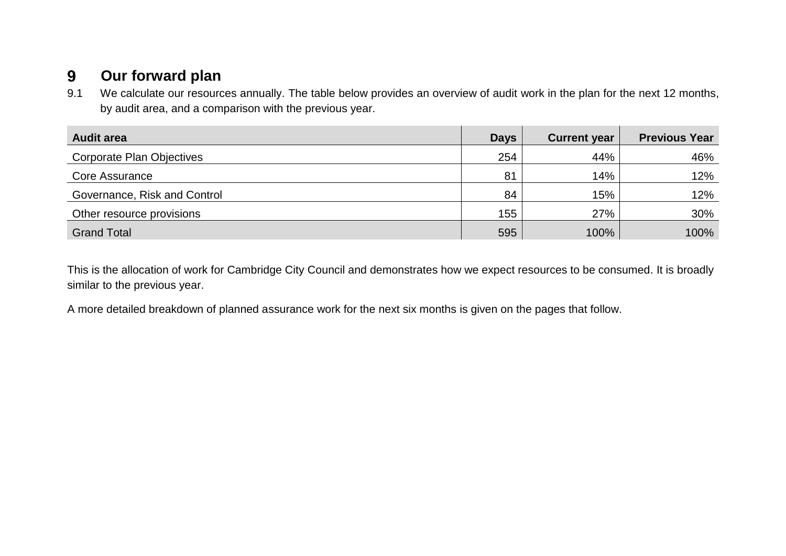#### $9^{\circ}$ **Our forward plan**

9.1 We calculate our resources annually. The table below provides an overview of audit work in the plan for the next 12 months, by audit area, and a comparison with the previous year.

| <b>Audit area</b>            | <b>Days</b> | <b>Current year</b> | <b>Previous Year</b> |
|------------------------------|-------------|---------------------|----------------------|
| Corporate Plan Objectives    | 254         | 44%                 | 46%                  |
| Core Assurance               | 81          | 14%                 | 12%                  |
| Governance, Risk and Control | 84          | 15%                 | 12%                  |
| Other resource provisions    | 155         | 27%                 | 30%                  |
| <b>Grand Total</b>           | 595         | 100%                | 100%                 |

This is the allocation of work for Cambridge City Council and demonstrates how we expect resources to be consumed. It is broadly similar to the previous year.

A more detailed breakdown of planned assurance work for the next six months is given on the pages that follow.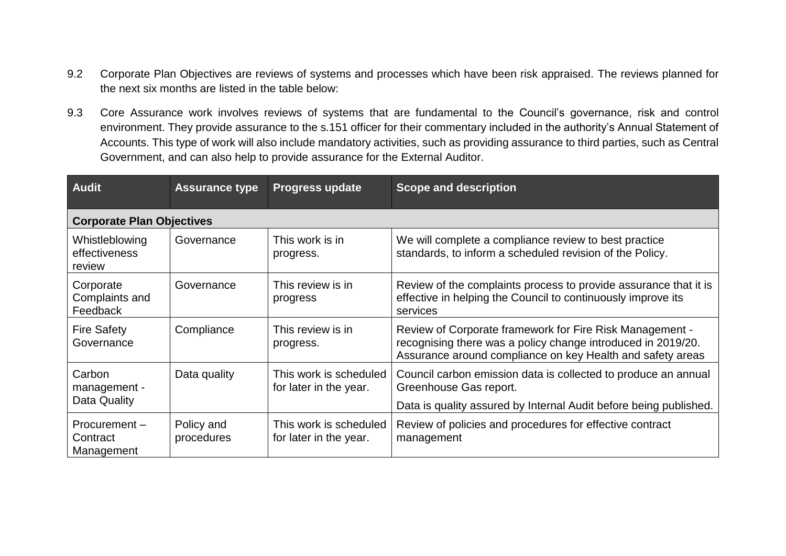- 9.2 Corporate Plan Objectives are reviews of systems and processes which have been risk appraised. The reviews planned for the next six months are listed in the table below:
- 9.3 Core Assurance work involves reviews of systems that are fundamental to the Council's governance, risk and control environment. They provide assurance to the s.151 officer for their commentary included in the authority's Annual Statement of Accounts. This type of work will also include mandatory activities, such as providing assurance to third parties, such as Central Government, and can also help to provide assurance for the External Auditor.

| <b>Audit</b>                              | <b>Assurance type</b>    | <b>Progress update</b>                           | <b>Scope and description</b>                                                                                                                                                           |  |
|-------------------------------------------|--------------------------|--------------------------------------------------|----------------------------------------------------------------------------------------------------------------------------------------------------------------------------------------|--|
| <b>Corporate Plan Objectives</b>          |                          |                                                  |                                                                                                                                                                                        |  |
| Whistleblowing<br>effectiveness<br>review | Governance               | This work is in<br>progress.                     | We will complete a compliance review to best practice<br>standards, to inform a scheduled revision of the Policy.                                                                      |  |
| Corporate<br>Complaints and<br>Feedback   | Governance               | This review is in<br>progress                    | Review of the complaints process to provide assurance that it is<br>effective in helping the Council to continuously improve its<br>services                                           |  |
| <b>Fire Safety</b><br>Governance          | Compliance               | This review is in<br>progress.                   | Review of Corporate framework for Fire Risk Management -<br>recognising there was a policy change introduced in 2019/20.<br>Assurance around compliance on key Health and safety areas |  |
| Carbon<br>management -                    | Data quality             | This work is scheduled<br>for later in the year. | Council carbon emission data is collected to produce an annual<br>Greenhouse Gas report.                                                                                               |  |
| Data Quality                              |                          |                                                  | Data is quality assured by Internal Audit before being published.                                                                                                                      |  |
| Procurement-<br>Contract<br>Management    | Policy and<br>procedures | This work is scheduled<br>for later in the year. | Review of policies and procedures for effective contract<br>management                                                                                                                 |  |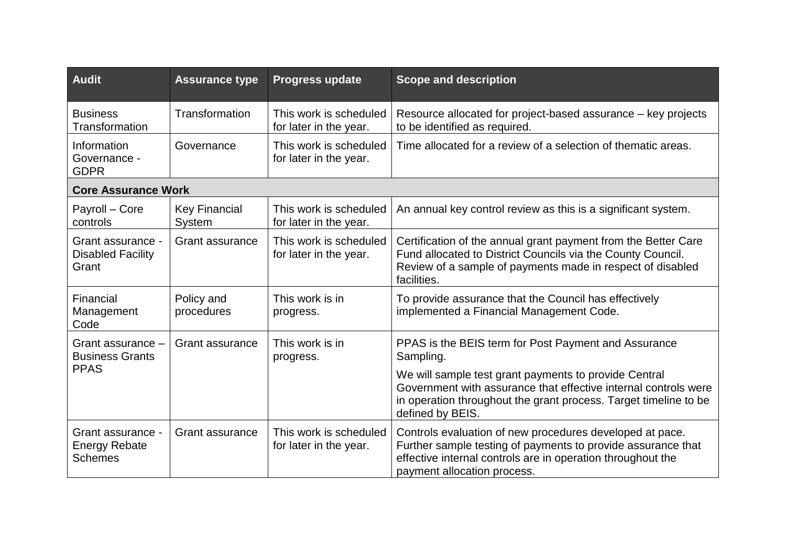| <b>Audit</b>                                                | <b>Assurance type</b>          | <b>Progress update</b>                           | <b>Scope and description</b>                                                                                                                                                                                           |
|-------------------------------------------------------------|--------------------------------|--------------------------------------------------|------------------------------------------------------------------------------------------------------------------------------------------------------------------------------------------------------------------------|
| <b>Business</b><br>Transformation                           | Transformation                 | This work is scheduled<br>for later in the year. | Resource allocated for project-based assurance – key projects<br>to be identified as required.                                                                                                                         |
| Information<br>Governance -<br><b>GDPR</b>                  | Governance                     | This work is scheduled<br>for later in the year. | Time allocated for a review of a selection of thematic areas.                                                                                                                                                          |
| <b>Core Assurance Work</b>                                  |                                |                                                  |                                                                                                                                                                                                                        |
| Payroll - Core<br>controls                                  | <b>Key Financial</b><br>System | This work is scheduled<br>for later in the year. | An annual key control review as this is a significant system.                                                                                                                                                          |
| Grant assurance -<br><b>Disabled Facility</b><br>Grant      | <b>Grant assurance</b>         | This work is scheduled<br>for later in the year. | Certification of the annual grant payment from the Better Care<br>Fund allocated to District Councils via the County Council.<br>Review of a sample of payments made in respect of disabled<br>facilities.             |
| Financial<br>Management<br>Code                             | Policy and<br>procedures       | This work is in<br>progress.                     | To provide assurance that the Council has effectively<br>implemented a Financial Management Code.                                                                                                                      |
| Grant assurance -<br><b>Business Grants</b>                 | <b>Grant assurance</b>         | This work is in<br>progress.                     | PPAS is the BEIS term for Post Payment and Assurance<br>Sampling.                                                                                                                                                      |
| <b>PPAS</b>                                                 |                                |                                                  | We will sample test grant payments to provide Central<br>Government with assurance that effective internal controls were<br>in operation throughout the grant process. Target timeline to be<br>defined by BEIS.       |
| Grant assurance -<br><b>Energy Rebate</b><br><b>Schemes</b> | <b>Grant assurance</b>         | This work is scheduled<br>for later in the year. | Controls evaluation of new procedures developed at pace.<br>Further sample testing of payments to provide assurance that<br>effective internal controls are in operation throughout the<br>payment allocation process. |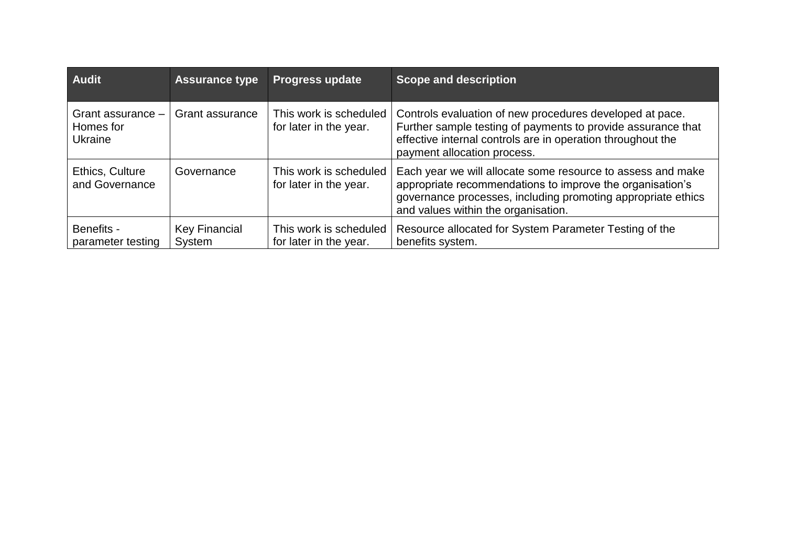| <b>Audit</b>                                     | <b>Assurance type</b>          | <b>Progress update</b>                           | <b>Scope and description</b>                                                                                                                                                                                                    |
|--------------------------------------------------|--------------------------------|--------------------------------------------------|---------------------------------------------------------------------------------------------------------------------------------------------------------------------------------------------------------------------------------|
| Grant assurance -<br>Homes for<br><b>Ukraine</b> | Grant assurance                | This work is scheduled<br>for later in the year. | Controls evaluation of new procedures developed at pace.<br>Further sample testing of payments to provide assurance that<br>effective internal controls are in operation throughout the<br>payment allocation process.          |
| Ethics, Culture<br>and Governance                | Governance                     | This work is scheduled<br>for later in the year. | Each year we will allocate some resource to assess and make<br>appropriate recommendations to improve the organisation's<br>governance processes, including promoting appropriate ethics<br>and values within the organisation. |
| Benefits -<br>parameter testing                  | <b>Key Financial</b><br>System | This work is scheduled<br>for later in the year. | Resource allocated for System Parameter Testing of the<br>benefits system.                                                                                                                                                      |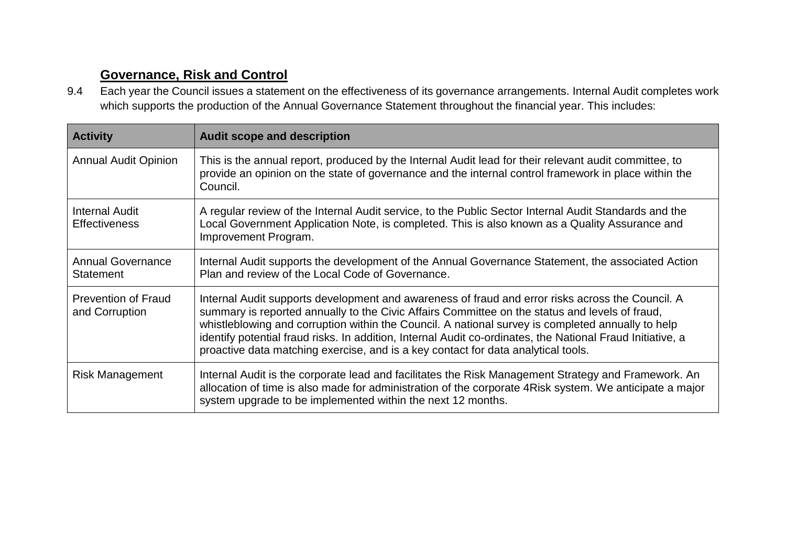### **Governance, Risk and Control**

9.4 Each year the Council issues a statement on the effectiveness of its governance arrangements. Internal Audit completes work which supports the production of the Annual Governance Statement throughout the financial year. This includes:

| <b>Activity</b>                               | <b>Audit scope and description</b>                                                                                                                                                                                                                                                                                                                                                                                                                                                                         |
|-----------------------------------------------|------------------------------------------------------------------------------------------------------------------------------------------------------------------------------------------------------------------------------------------------------------------------------------------------------------------------------------------------------------------------------------------------------------------------------------------------------------------------------------------------------------|
| <b>Annual Audit Opinion</b>                   | This is the annual report, produced by the Internal Audit lead for their relevant audit committee, to<br>provide an opinion on the state of governance and the internal control framework in place within the<br>Council.                                                                                                                                                                                                                                                                                  |
| <b>Internal Audit</b><br><b>Effectiveness</b> | A regular review of the Internal Audit service, to the Public Sector Internal Audit Standards and the<br>Local Government Application Note, is completed. This is also known as a Quality Assurance and<br>Improvement Program.                                                                                                                                                                                                                                                                            |
| <b>Annual Governance</b><br><b>Statement</b>  | Internal Audit supports the development of the Annual Governance Statement, the associated Action<br>Plan and review of the Local Code of Governance.                                                                                                                                                                                                                                                                                                                                                      |
| <b>Prevention of Fraud</b><br>and Corruption  | Internal Audit supports development and awareness of fraud and error risks across the Council. A<br>summary is reported annually to the Civic Affairs Committee on the status and levels of fraud,<br>whistleblowing and corruption within the Council. A national survey is completed annually to help<br>identify potential fraud risks. In addition, Internal Audit co-ordinates, the National Fraud Initiative, a<br>proactive data matching exercise, and is a key contact for data analytical tools. |
| <b>Risk Management</b>                        | Internal Audit is the corporate lead and facilitates the Risk Management Strategy and Framework. An<br>allocation of time is also made for administration of the corporate 4 Risk system. We anticipate a major<br>system upgrade to be implemented within the next 12 months.                                                                                                                                                                                                                             |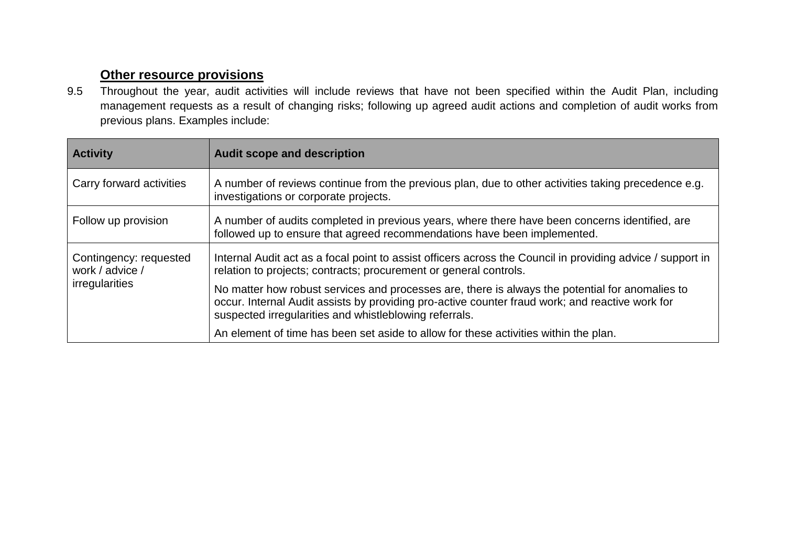### **Other resource provisions**

9.5 Throughout the year, audit activities will include reviews that have not been specified within the Audit Plan, including management requests as a result of changing risks; following up agreed audit actions and completion of audit works from previous plans. Examples include:

| <b>Activity</b>                           | <b>Audit scope and description</b>                                                                                                                                                                                                                           |
|-------------------------------------------|--------------------------------------------------------------------------------------------------------------------------------------------------------------------------------------------------------------------------------------------------------------|
| Carry forward activities                  | A number of reviews continue from the previous plan, due to other activities taking precedence e.g.<br>investigations or corporate projects.                                                                                                                 |
| Follow up provision                       | A number of audits completed in previous years, where there have been concerns identified, are<br>followed up to ensure that agreed recommendations have been implemented.                                                                                   |
| Contingency: requested<br>work / advice / | Internal Audit act as a focal point to assist officers across the Council in providing advice / support in<br>relation to projects; contracts; procurement or general controls.                                                                              |
| irregularities                            | No matter how robust services and processes are, there is always the potential for anomalies to<br>occur. Internal Audit assists by providing pro-active counter fraud work; and reactive work for<br>suspected irregularities and whistleblowing referrals. |
|                                           | An element of time has been set aside to allow for these activities within the plan.                                                                                                                                                                         |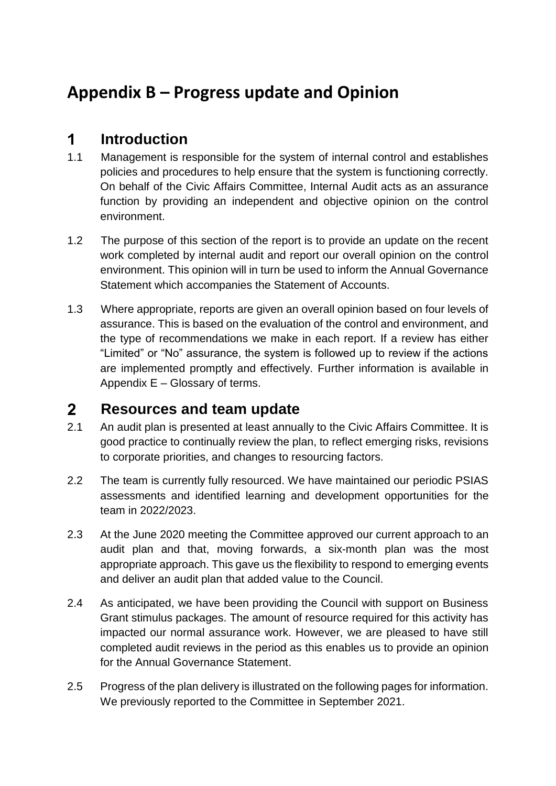# **Appendix B – Progress update and Opinion**

#### $\overline{\mathbf{1}}$ **Introduction**

- 1.1 Management is responsible for the system of internal control and establishes policies and procedures to help ensure that the system is functioning correctly. On behalf of the Civic Affairs Committee, Internal Audit acts as an assurance function by providing an independent and objective opinion on the control environment.
- 1.2 The purpose of this section of the report is to provide an update on the recent work completed by internal audit and report our overall opinion on the control environment. This opinion will in turn be used to inform the Annual Governance Statement which accompanies the Statement of Accounts.
- 1.3 Where appropriate, reports are given an overall opinion based on four levels of assurance. This is based on the evaluation of the control and environment, and the type of recommendations we make in each report. If a review has either "Limited" or "No" assurance, the system is followed up to review if the actions are implemented promptly and effectively. Further information is available in Appendix E – Glossary of terms.

#### **Resources and team update**  $2<sup>1</sup>$

- 2.1 An audit plan is presented at least annually to the Civic Affairs Committee. It is good practice to continually review the plan, to reflect emerging risks, revisions to corporate priorities, and changes to resourcing factors.
- 2.2 The team is currently fully resourced. We have maintained our periodic PSIAS assessments and identified learning and development opportunities for the team in 2022/2023.
- 2.3 At the June 2020 meeting the Committee approved our current approach to an audit plan and that, moving forwards, a six-month plan was the most appropriate approach. This gave us the flexibility to respond to emerging events and deliver an audit plan that added value to the Council.
- 2.4 As anticipated, we have been providing the Council with support on Business Grant stimulus packages. The amount of resource required for this activity has impacted our normal assurance work. However, we are pleased to have still completed audit reviews in the period as this enables us to provide an opinion for the Annual Governance Statement.
- 2.5 Progress of the plan delivery is illustrated on the following pages for information. We previously reported to the Committee in September 2021.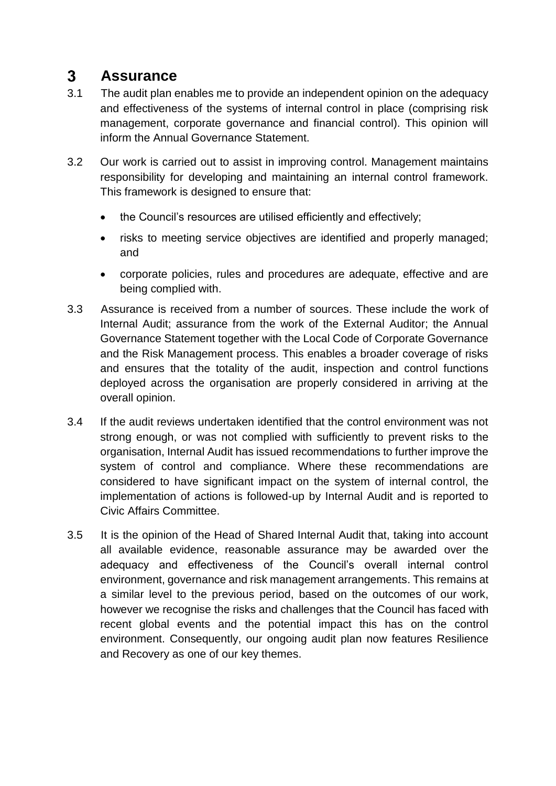#### $3<sup>1</sup>$ **Assurance**

- 3.1 The audit plan enables me to provide an independent opinion on the adequacy and effectiveness of the systems of internal control in place (comprising risk management, corporate governance and financial control). This opinion will inform the Annual Governance Statement.
- 3.2 Our work is carried out to assist in improving control. Management maintains responsibility for developing and maintaining an internal control framework. This framework is designed to ensure that:
	- the Council's resources are utilised efficiently and effectively;
	- risks to meeting service objectives are identified and properly managed; and
	- corporate policies, rules and procedures are adequate, effective and are being complied with.
- 3.3 Assurance is received from a number of sources. These include the work of Internal Audit; assurance from the work of the External Auditor; the Annual Governance Statement together with the Local Code of Corporate Governance and the Risk Management process. This enables a broader coverage of risks and ensures that the totality of the audit, inspection and control functions deployed across the organisation are properly considered in arriving at the overall opinion.
- 3.4 If the audit reviews undertaken identified that the control environment was not strong enough, or was not complied with sufficiently to prevent risks to the organisation, Internal Audit has issued recommendations to further improve the system of control and compliance. Where these recommendations are considered to have significant impact on the system of internal control, the implementation of actions is followed-up by Internal Audit and is reported to Civic Affairs Committee.
- 3.5 It is the opinion of the Head of Shared Internal Audit that, taking into account all available evidence, reasonable assurance may be awarded over the adequacy and effectiveness of the Council's overall internal control environment, governance and risk management arrangements. This remains at a similar level to the previous period, based on the outcomes of our work, however we recognise the risks and challenges that the Council has faced with recent global events and the potential impact this has on the control environment. Consequently, our ongoing audit plan now features Resilience and Recovery as one of our key themes.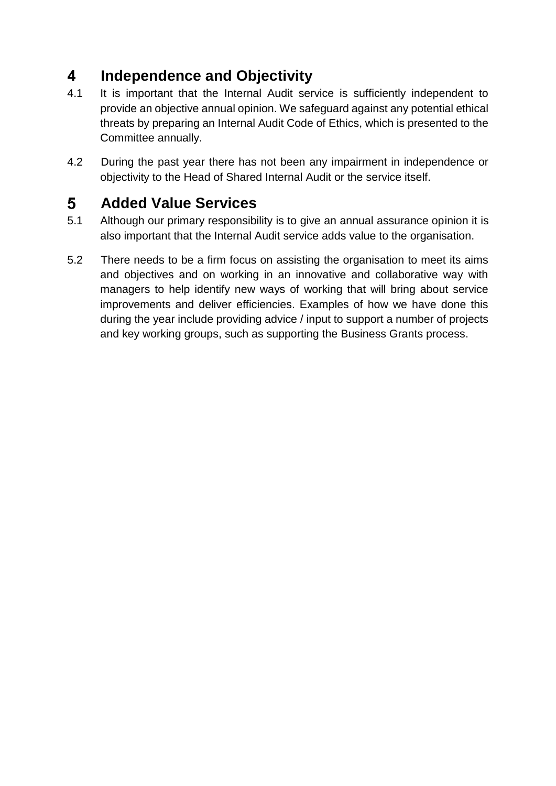#### $\overline{\mathbf{4}}$ **Independence and Objectivity**

- 4.1 It is important that the Internal Audit service is sufficiently independent to provide an objective annual opinion. We safeguard against any potential ethical threats by preparing an Internal Audit Code of Ethics, which is presented to the Committee annually.
- 4.2 During the past year there has not been any impairment in independence or objectivity to the Head of Shared Internal Audit or the service itself.

#### 5 **Added Value Services**

- 5.1 Although our primary responsibility is to give an annual assurance opinion it is also important that the Internal Audit service adds value to the organisation.
- 5.2 There needs to be a firm focus on assisting the organisation to meet its aims and objectives and on working in an innovative and collaborative way with managers to help identify new ways of working that will bring about service improvements and deliver efficiencies. Examples of how we have done this during the year include providing advice / input to support a number of projects and key working groups, such as supporting the Business Grants process.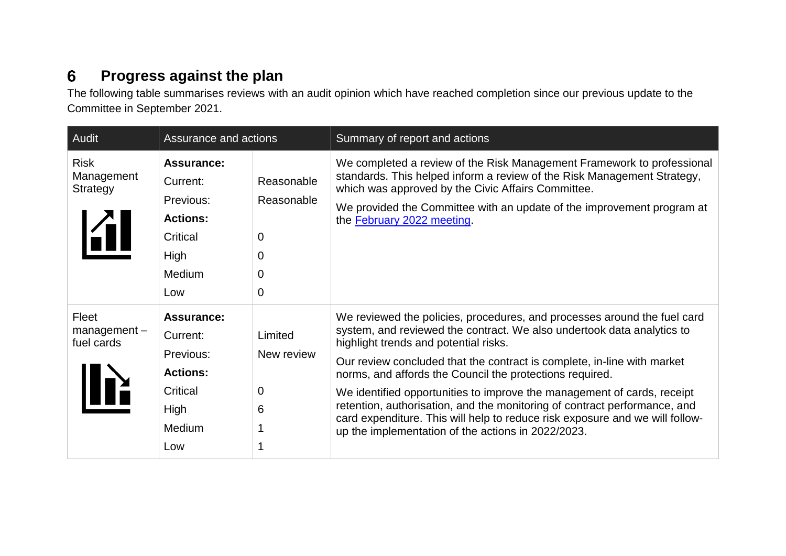#### **Progress against the plan**  $6\phantom{1}$

The following table summarises reviews with an audit opinion which have reached completion since our previous update to the Committee in September 2021.

| Audit                                            | Assurance and actions                                                                              |                                                        | Summary of report and actions                                                                                                                                                                                                                                                                                                                                                                                                                                                                                                                                                                                                    |
|--------------------------------------------------|----------------------------------------------------------------------------------------------------|--------------------------------------------------------|----------------------------------------------------------------------------------------------------------------------------------------------------------------------------------------------------------------------------------------------------------------------------------------------------------------------------------------------------------------------------------------------------------------------------------------------------------------------------------------------------------------------------------------------------------------------------------------------------------------------------------|
| <b>Risk</b><br>Management<br>Strategy<br>KIL     | <b>Assurance:</b><br>Current:<br>Previous:<br><b>Actions:</b><br>Critical<br>High<br>Medium<br>Low | Reasonable<br>Reasonable<br>0<br>0<br>0<br>$\mathbf 0$ | We completed a review of the Risk Management Framework to professional<br>standards. This helped inform a review of the Risk Management Strategy,<br>which was approved by the Civic Affairs Committee.<br>We provided the Committee with an update of the improvement program at<br>the February 2022 meeting.                                                                                                                                                                                                                                                                                                                  |
| Fleet<br>$m$ anagement $-$<br>fuel cards<br>IIIX | <b>Assurance:</b><br>Current:<br>Previous:<br><b>Actions:</b><br>Critical<br>High<br>Medium<br>Low | Limited<br>New review<br>0<br>6                        | We reviewed the policies, procedures, and processes around the fuel card<br>system, and reviewed the contract. We also undertook data analytics to<br>highlight trends and potential risks.<br>Our review concluded that the contract is complete, in-line with market<br>norms, and affords the Council the protections required.<br>We identified opportunities to improve the management of cards, receipt<br>retention, authorisation, and the monitoring of contract performance, and<br>card expenditure. This will help to reduce risk exposure and we will follow-<br>up the implementation of the actions in 2022/2023. |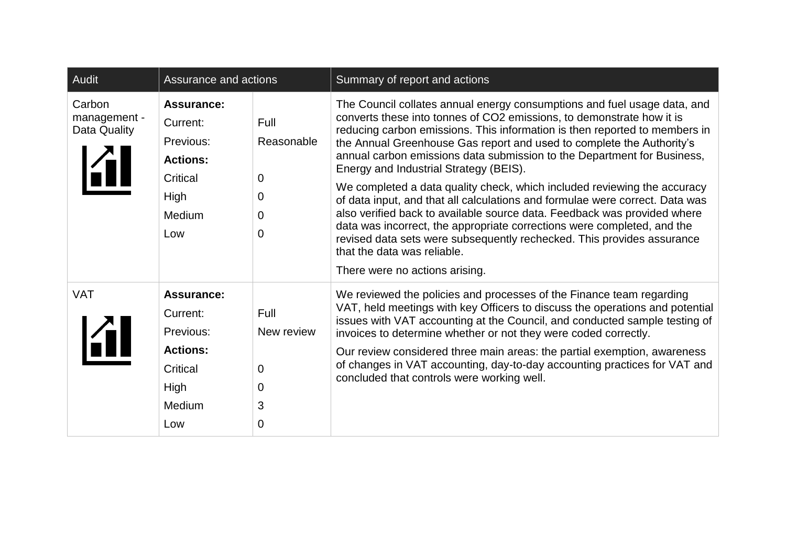| Audit                                  | Assurance and actions                                                                                     |                                        | Summary of report and actions                                                                                                                                                                                                                                                                                                                                                                                                                                                                                                                                                                                                                                                                                                                                                                                                                                                               |
|----------------------------------------|-----------------------------------------------------------------------------------------------------------|----------------------------------------|---------------------------------------------------------------------------------------------------------------------------------------------------------------------------------------------------------------------------------------------------------------------------------------------------------------------------------------------------------------------------------------------------------------------------------------------------------------------------------------------------------------------------------------------------------------------------------------------------------------------------------------------------------------------------------------------------------------------------------------------------------------------------------------------------------------------------------------------------------------------------------------------|
| Carbon<br>management -<br>Data Quality | <b>Assurance:</b><br>Current:<br>Previous:<br><b>Actions:</b><br><b>Critical</b><br>High<br>Medium<br>Low | Full<br>Reasonable<br>0<br>0<br>0<br>0 | The Council collates annual energy consumptions and fuel usage data, and<br>converts these into tonnes of CO2 emissions, to demonstrate how it is<br>reducing carbon emissions. This information is then reported to members in<br>the Annual Greenhouse Gas report and used to complete the Authority's<br>annual carbon emissions data submission to the Department for Business,<br>Energy and Industrial Strategy (BEIS).<br>We completed a data quality check, which included reviewing the accuracy<br>of data input, and that all calculations and formulae were correct. Data was<br>also verified back to available source data. Feedback was provided where<br>data was incorrect, the appropriate corrections were completed, and the<br>revised data sets were subsequently rechecked. This provides assurance<br>that the data was reliable.<br>There were no actions arising. |
| <b>VAT</b>                             | <b>Assurance:</b><br>Current:<br>Previous:<br><b>Actions:</b><br>Critical<br>High<br><b>Medium</b><br>Low | Full<br>New review<br>0<br>0<br>3<br>0 | We reviewed the policies and processes of the Finance team regarding<br>VAT, held meetings with key Officers to discuss the operations and potential<br>issues with VAT accounting at the Council, and conducted sample testing of<br>invoices to determine whether or not they were coded correctly.<br>Our review considered three main areas: the partial exemption, awareness<br>of changes in VAT accounting, day-to-day accounting practices for VAT and<br>concluded that controls were working well.                                                                                                                                                                                                                                                                                                                                                                                |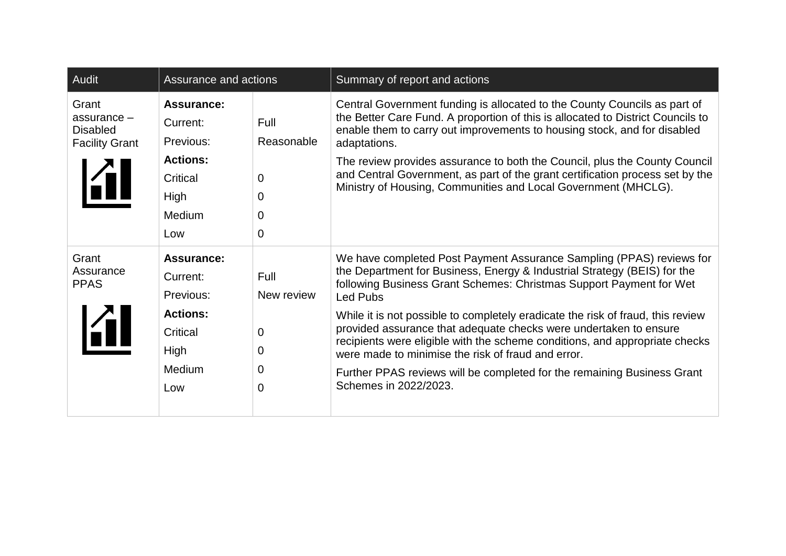| Audit                                                            | Assurance and actions                                                                                            |                                        | Summary of report and actions                                                                                                                                                                                                                                                                                                                                                                                                                                                                                                                                                                                                        |
|------------------------------------------------------------------|------------------------------------------------------------------------------------------------------------------|----------------------------------------|--------------------------------------------------------------------------------------------------------------------------------------------------------------------------------------------------------------------------------------------------------------------------------------------------------------------------------------------------------------------------------------------------------------------------------------------------------------------------------------------------------------------------------------------------------------------------------------------------------------------------------------|
| Grant<br>assurance -<br><b>Disabled</b><br><b>Facility Grant</b> | <b>Assurance:</b><br>Current:<br>Previous:<br><b>Actions:</b><br>Critical<br><b>High</b><br><b>Medium</b><br>Low | Full<br>Reasonable<br>0<br>0<br>0<br>0 | Central Government funding is allocated to the County Councils as part of<br>the Better Care Fund. A proportion of this is allocated to District Councils to<br>enable them to carry out improvements to housing stock, and for disabled<br>adaptations.<br>The review provides assurance to both the Council, plus the County Council<br>and Central Government, as part of the grant certification process set by the<br>Ministry of Housing, Communities and Local Government (MHCLG).                                                                                                                                            |
| Grant<br>Assurance<br><b>PPAS</b>                                | <b>Assurance:</b><br>Current:<br>Previous:<br><b>Actions:</b><br><b>Critical</b><br>High<br>Medium<br>Low        | Full<br>New review<br>0<br>0<br>0<br>0 | We have completed Post Payment Assurance Sampling (PPAS) reviews for<br>the Department for Business, Energy & Industrial Strategy (BEIS) for the<br>following Business Grant Schemes: Christmas Support Payment for Wet<br>Led Pubs<br>While it is not possible to completely eradicate the risk of fraud, this review<br>provided assurance that adequate checks were undertaken to ensure<br>recipients were eligible with the scheme conditions, and appropriate checks<br>were made to minimise the risk of fraud and error.<br>Further PPAS reviews will be completed for the remaining Business Grant<br>Schemes in 2022/2023. |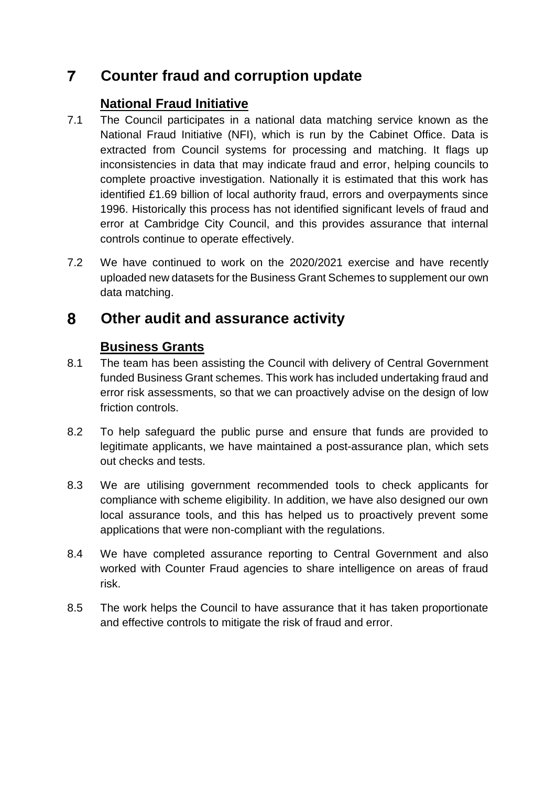#### $\overline{7}$ **Counter fraud and corruption update**

### **National Fraud Initiative**

- 7.1 The Council participates in a national data matching service known as the National Fraud Initiative (NFI), which is run by the Cabinet Office. Data is extracted from Council systems for processing and matching. It flags up inconsistencies in data that may indicate fraud and error, helping councils to complete proactive investigation. Nationally it is estimated that this work has identified £1.69 billion of local authority fraud, errors and overpayments since 1996. Historically this process has not identified significant levels of fraud and error at Cambridge City Council, and this provides assurance that internal controls continue to operate effectively.
- 7.2 We have continued to work on the 2020/2021 exercise and have recently uploaded new datasets for the Business Grant Schemes to supplement our own data matching.

#### 8 **Other audit and assurance activity**

### **Business Grants**

- 8.1 The team has been assisting the Council with delivery of Central Government funded Business Grant schemes. This work has included undertaking fraud and error risk assessments, so that we can proactively advise on the design of low friction controls.
- 8.2 To help safeguard the public purse and ensure that funds are provided to legitimate applicants, we have maintained a post-assurance plan, which sets out checks and tests.
- 8.3 We are utilising government recommended tools to check applicants for compliance with scheme eligibility. In addition, we have also designed our own local assurance tools, and this has helped us to proactively prevent some applications that were non-compliant with the regulations.
- 8.4 We have completed assurance reporting to Central Government and also worked with Counter Fraud agencies to share intelligence on areas of fraud risk.
- 8.5 The work helps the Council to have assurance that it has taken proportionate and effective controls to mitigate the risk of fraud and error.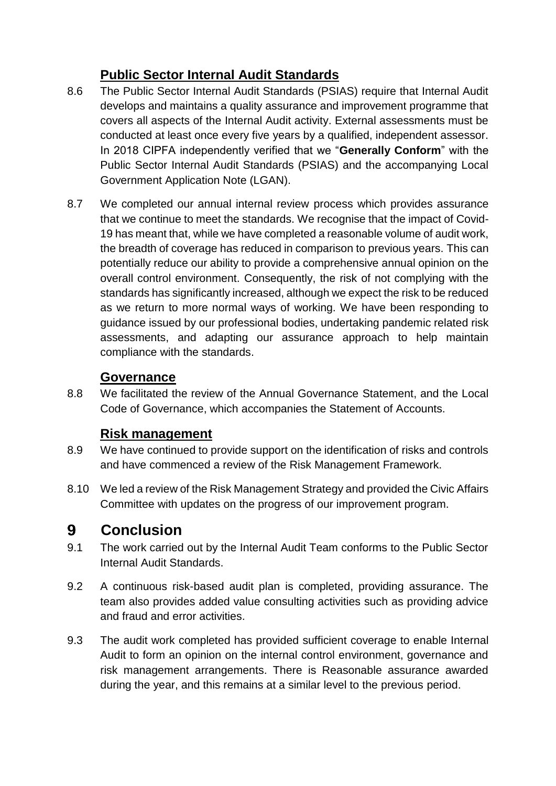### **Public Sector Internal Audit Standards**

- 8.6 The Public Sector Internal Audit Standards (PSIAS) require that Internal Audit develops and maintains a quality assurance and improvement programme that covers all aspects of the Internal Audit activity. External assessments must be conducted at least once every five years by a qualified, independent assessor. In 2018 CIPFA independently verified that we "**Generally Conform**" with the Public Sector Internal Audit Standards (PSIAS) and the accompanying Local Government Application Note (LGAN).
- 8.7 We completed our annual internal review process which provides assurance that we continue to meet the standards. We recognise that the impact of Covid-19 has meant that, while we have completed a reasonable volume of audit work, the breadth of coverage has reduced in comparison to previous years. This can potentially reduce our ability to provide a comprehensive annual opinion on the overall control environment. Consequently, the risk of not complying with the standards has significantly increased, although we expect the risk to be reduced as we return to more normal ways of working. We have been responding to guidance issued by our professional bodies, undertaking pandemic related risk assessments, and adapting our assurance approach to help maintain compliance with the standards.

### **Governance**

8.8 We facilitated the review of the Annual Governance Statement, and the Local Code of Governance, which accompanies the Statement of Accounts.

### **Risk management**

- 8.9 We have continued to provide support on the identification of risks and controls and have commenced a review of the Risk Management Framework.
- 8.10 We led a review of the Risk Management Strategy and provided the Civic Affairs Committee with updates on the progress of our improvement program.

#### 9 **Conclusion**

- 9.1 The work carried out by the Internal Audit Team conforms to the Public Sector Internal Audit Standards.
- 9.2 A continuous risk-based audit plan is completed, providing assurance. The team also provides added value consulting activities such as providing advice and fraud and error activities.
- 9.3 The audit work completed has provided sufficient coverage to enable Internal Audit to form an opinion on the internal control environment, governance and risk management arrangements. There is Reasonable assurance awarded during the year, and this remains at a similar level to the previous period.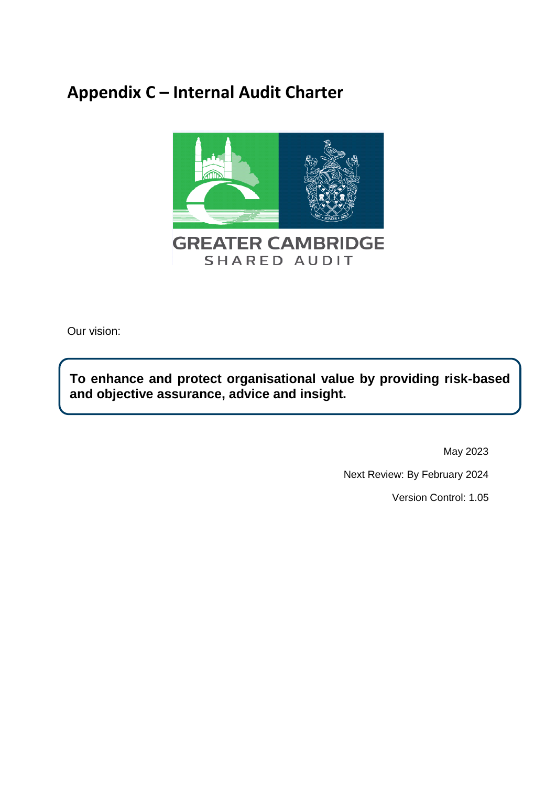# **Appendix C – Internal Audit Charter**



Our vision:

**To enhance and protect organisational value by providing risk-based and objective assurance, advice and insight.**

May 2023

Next Review: By February 2024

Version Control: 1.05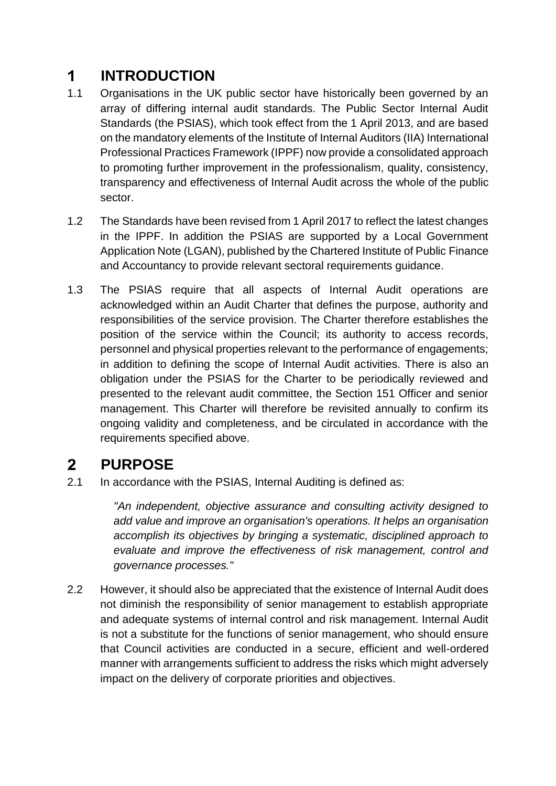#### $\mathbf 1$ **INTRODUCTION**

- 1.1 Organisations in the UK public sector have historically been governed by an array of differing internal audit standards. The Public Sector Internal Audit Standards (the PSIAS), which took effect from the 1 April 2013, and are based on the mandatory elements of the Institute of Internal Auditors (IIA) International Professional Practices Framework (IPPF) now provide a consolidated approach to promoting further improvement in the professionalism, quality, consistency, transparency and effectiveness of Internal Audit across the whole of the public sector.
- 1.2 The Standards have been revised from 1 April 2017 to reflect the latest changes in the IPPF. In addition the PSIAS are supported by a Local Government Application Note (LGAN), published by the Chartered Institute of Public Finance and Accountancy to provide relevant sectoral requirements guidance.
- 1.3 The PSIAS require that all aspects of Internal Audit operations are acknowledged within an Audit Charter that defines the purpose, authority and responsibilities of the service provision. The Charter therefore establishes the position of the service within the Council; its authority to access records, personnel and physical properties relevant to the performance of engagements; in addition to defining the scope of Internal Audit activities. There is also an obligation under the PSIAS for the Charter to be periodically reviewed and presented to the relevant audit committee, the Section 151 Officer and senior management. This Charter will therefore be revisited annually to confirm its ongoing validity and completeness, and be circulated in accordance with the requirements specified above.

#### $2<sup>1</sup>$ **PURPOSE**

2.1 In accordance with the PSIAS, Internal Auditing is defined as:

*"An independent, objective assurance and consulting activity designed to add value and improve an organisation's operations. It helps an organisation accomplish its objectives by bringing a systematic, disciplined approach to evaluate and improve the effectiveness of risk management, control and governance processes."*

2.2 However, it should also be appreciated that the existence of Internal Audit does not diminish the responsibility of senior management to establish appropriate and adequate systems of internal control and risk management. Internal Audit is not a substitute for the functions of senior management, who should ensure that Council activities are conducted in a secure, efficient and well-ordered manner with arrangements sufficient to address the risks which might adversely impact on the delivery of corporate priorities and objectives.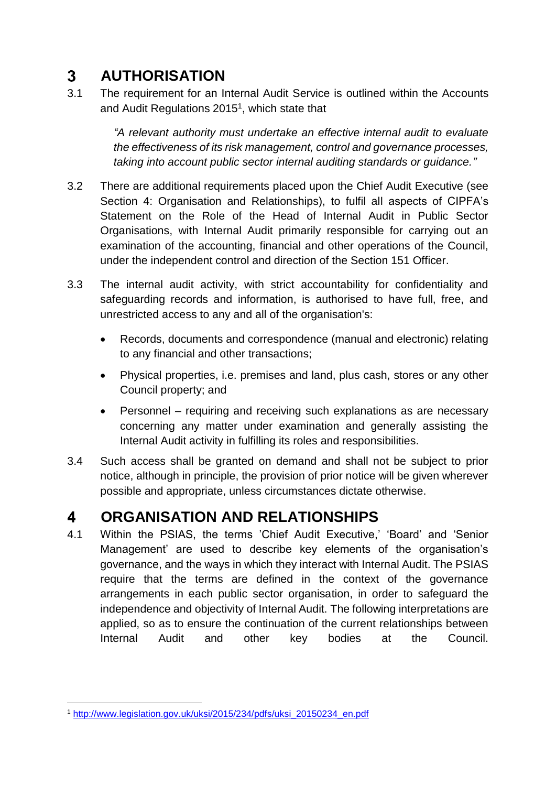#### $3<sup>1</sup>$ **AUTHORISATION**

3.1 The requirement for an Internal Audit Service is outlined within the Accounts and Audit Regulations 2015<sup>1</sup>, which state that

> *"A relevant authority must undertake an effective internal audit to evaluate the effectiveness of its risk management, control and governance processes, taking into account public sector internal auditing standards or guidance."*

- 3.2 There are additional requirements placed upon the Chief Audit Executive (see Section 4: Organisation and Relationships), to fulfil all aspects of CIPFA's Statement on the Role of the Head of Internal Audit in Public Sector Organisations, with Internal Audit primarily responsible for carrying out an examination of the accounting, financial and other operations of the Council, under the independent control and direction of the Section 151 Officer.
- 3.3 The internal audit activity, with strict accountability for confidentiality and safeguarding records and information, is authorised to have full, free, and unrestricted access to any and all of the organisation's:
	- Records, documents and correspondence (manual and electronic) relating to any financial and other transactions;
	- Physical properties, i.e. premises and land, plus cash, stores or any other Council property; and
	- Personnel requiring and receiving such explanations as are necessary concerning any matter under examination and generally assisting the Internal Audit activity in fulfilling its roles and responsibilities.
- 3.4 Such access shall be granted on demand and shall not be subject to prior notice, although in principle, the provision of prior notice will be given wherever possible and appropriate, unless circumstances dictate otherwise.

#### $\overline{\mathbf{4}}$ **ORGANISATION AND RELATIONSHIPS**

4.1 Within the PSIAS, the terms 'Chief Audit Executive,' 'Board' and 'Senior Management' are used to describe key elements of the organisation's governance, and the ways in which they interact with Internal Audit. The PSIAS require that the terms are defined in the context of the governance arrangements in each public sector organisation, in order to safeguard the independence and objectivity of Internal Audit. The following interpretations are applied, so as to ensure the continuation of the current relationships between Internal Audit and other key bodies at the Council.

<sup>1</sup> <sup>1</sup> [http://www.legislation.gov.uk/uksi/2015/234/pdfs/uksi\\_20150234\\_en.pdf](http://www.legislation.gov.uk/uksi/2015/234/pdfs/uksi_20150234_en.pdf)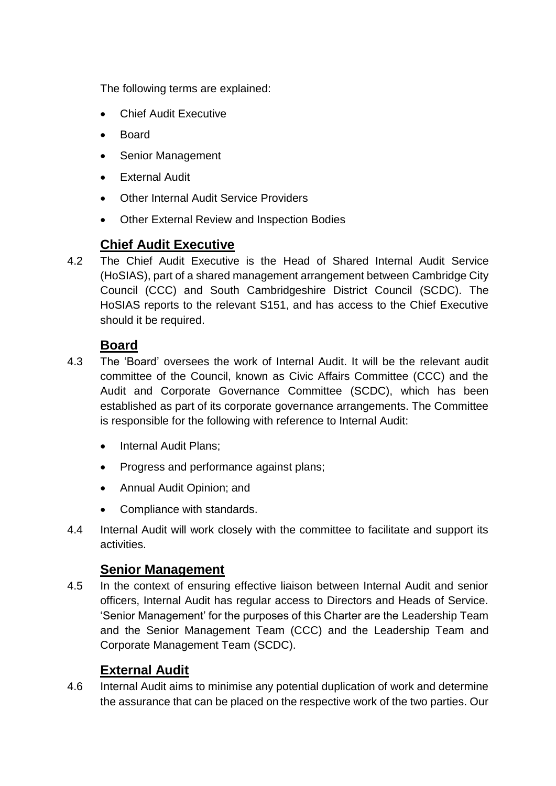The following terms are explained:

- Chief Audit Executive
- Board
- Senior Management
- External Audit
- Other Internal Audit Service Providers
- Other External Review and Inspection Bodies

### **Chief Audit Executive**

4.2 The Chief Audit Executive is the Head of Shared Internal Audit Service (HoSIAS), part of a shared management arrangement between Cambridge City Council (CCC) and South Cambridgeshire District Council (SCDC). The HoSIAS reports to the relevant S151, and has access to the Chief Executive should it be required.

### **Board**

- 4.3 The 'Board' oversees the work of Internal Audit. It will be the relevant audit committee of the Council, known as Civic Affairs Committee (CCC) and the Audit and Corporate Governance Committee (SCDC), which has been established as part of its corporate governance arrangements. The Committee is responsible for the following with reference to Internal Audit:
	- Internal Audit Plans;
	- Progress and performance against plans;
	- Annual Audit Opinion; and
	- Compliance with standards.
- 4.4 Internal Audit will work closely with the committee to facilitate and support its activities.

### **Senior Management**

4.5 In the context of ensuring effective liaison between Internal Audit and senior officers, Internal Audit has regular access to Directors and Heads of Service. 'Senior Management' for the purposes of this Charter are the Leadership Team and the Senior Management Team (CCC) and the Leadership Team and Corporate Management Team (SCDC).

### **External Audit**

4.6 Internal Audit aims to minimise any potential duplication of work and determine the assurance that can be placed on the respective work of the two parties. Our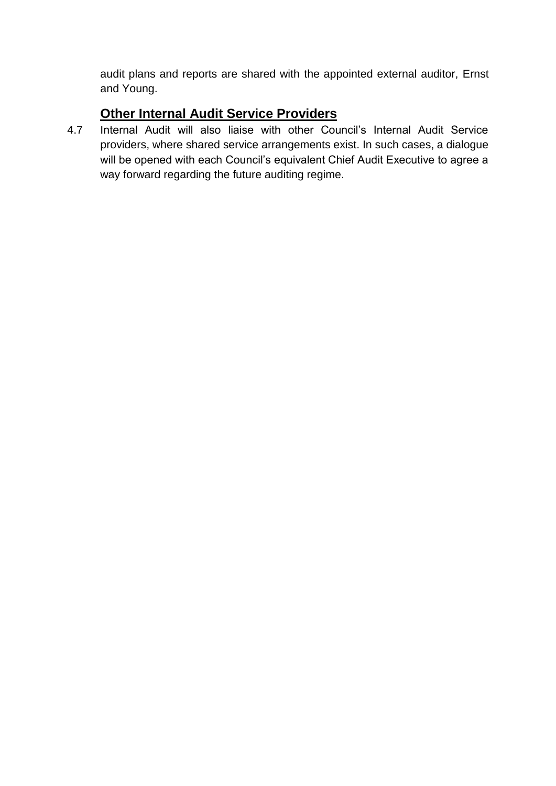audit plans and reports are shared with the appointed external auditor, Ernst and Young.

### **Other Internal Audit Service Providers**

4.7 Internal Audit will also liaise with other Council's Internal Audit Service providers, where shared service arrangements exist. In such cases, a dialogue will be opened with each Council's equivalent Chief Audit Executive to agree a way forward regarding the future auditing regime.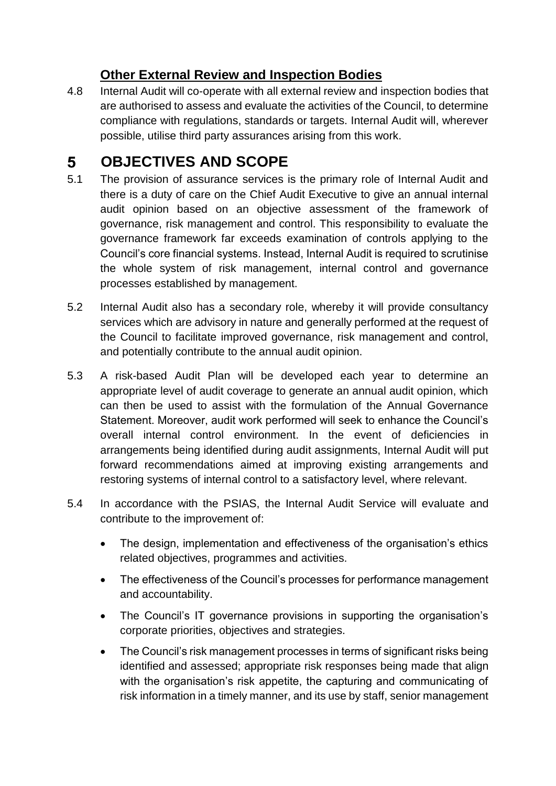### **Other External Review and Inspection Bodies**

4.8 Internal Audit will co-operate with all external review and inspection bodies that are authorised to assess and evaluate the activities of the Council, to determine compliance with regulations, standards or targets. Internal Audit will, wherever possible, utilise third party assurances arising from this work.

#### **OBJECTIVES AND SCOPE**  $5<sup>5</sup>$

- 5.1 The provision of assurance services is the primary role of Internal Audit and there is a duty of care on the Chief Audit Executive to give an annual internal audit opinion based on an objective assessment of the framework of governance, risk management and control. This responsibility to evaluate the governance framework far exceeds examination of controls applying to the Council's core financial systems. Instead, Internal Audit is required to scrutinise the whole system of risk management, internal control and governance processes established by management.
- 5.2 Internal Audit also has a secondary role, whereby it will provide consultancy services which are advisory in nature and generally performed at the request of the Council to facilitate improved governance, risk management and control, and potentially contribute to the annual audit opinion.
- 5.3 A risk-based Audit Plan will be developed each year to determine an appropriate level of audit coverage to generate an annual audit opinion, which can then be used to assist with the formulation of the Annual Governance Statement. Moreover, audit work performed will seek to enhance the Council's overall internal control environment. In the event of deficiencies in arrangements being identified during audit assignments, Internal Audit will put forward recommendations aimed at improving existing arrangements and restoring systems of internal control to a satisfactory level, where relevant.
- 5.4 In accordance with the PSIAS, the Internal Audit Service will evaluate and contribute to the improvement of:
	- The design, implementation and effectiveness of the organisation's ethics related objectives, programmes and activities.
	- The effectiveness of the Council's processes for performance management and accountability.
	- The Council's IT governance provisions in supporting the organisation's corporate priorities, objectives and strategies.
	- The Council's risk management processes in terms of significant risks being identified and assessed; appropriate risk responses being made that align with the organisation's risk appetite, the capturing and communicating of risk information in a timely manner, and its use by staff, senior management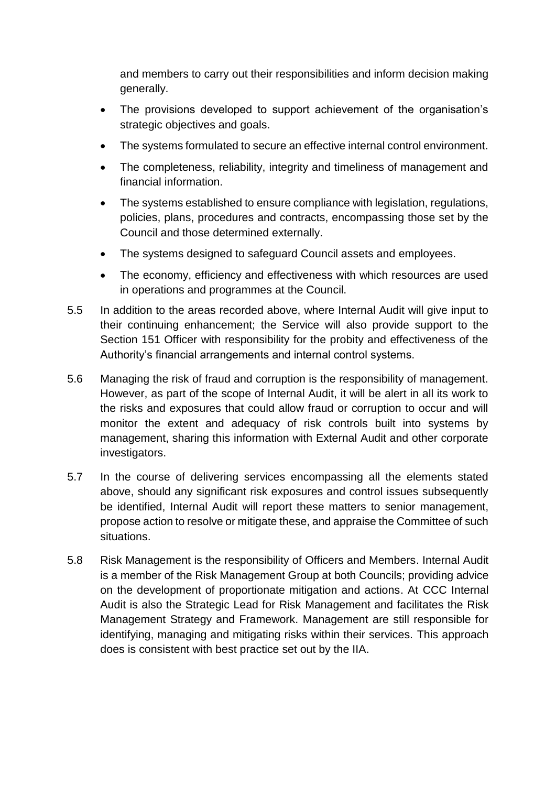and members to carry out their responsibilities and inform decision making generally.

- The provisions developed to support achievement of the organisation's strategic objectives and goals.
- The systems formulated to secure an effective internal control environment.
- The completeness, reliability, integrity and timeliness of management and financial information.
- The systems established to ensure compliance with legislation, regulations, policies, plans, procedures and contracts, encompassing those set by the Council and those determined externally.
- The systems designed to safeguard Council assets and employees.
- The economy, efficiency and effectiveness with which resources are used in operations and programmes at the Council.
- 5.5 In addition to the areas recorded above, where Internal Audit will give input to their continuing enhancement; the Service will also provide support to the Section 151 Officer with responsibility for the probity and effectiveness of the Authority's financial arrangements and internal control systems.
- 5.6 Managing the risk of fraud and corruption is the responsibility of management. However, as part of the scope of Internal Audit, it will be alert in all its work to the risks and exposures that could allow fraud or corruption to occur and will monitor the extent and adequacy of risk controls built into systems by management, sharing this information with External Audit and other corporate investigators.
- 5.7 In the course of delivering services encompassing all the elements stated above, should any significant risk exposures and control issues subsequently be identified, Internal Audit will report these matters to senior management, propose action to resolve or mitigate these, and appraise the Committee of such situations.
- 5.8 Risk Management is the responsibility of Officers and Members. Internal Audit is a member of the Risk Management Group at both Councils; providing advice on the development of proportionate mitigation and actions. At CCC Internal Audit is also the Strategic Lead for Risk Management and facilitates the Risk Management Strategy and Framework. Management are still responsible for identifying, managing and mitigating risks within their services. This approach does is consistent with best practice set out by the IIA.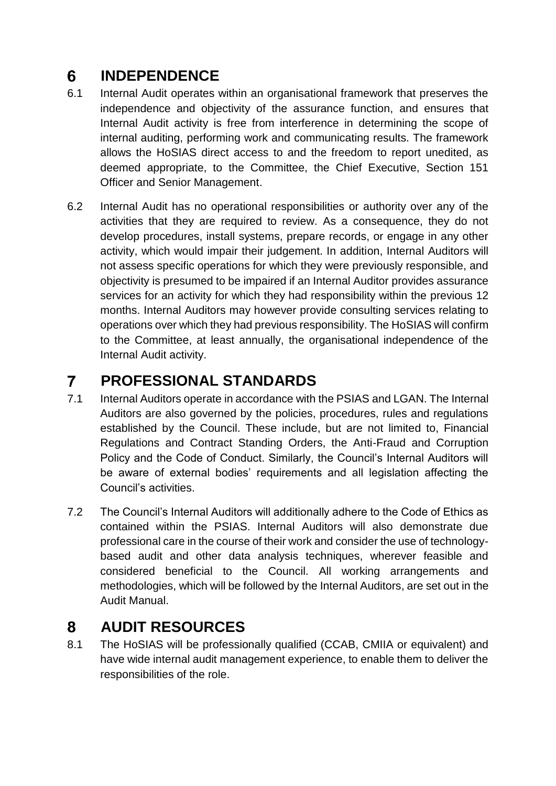#### $6<sup>1</sup>$ **INDEPENDENCE**

- 6.1 Internal Audit operates within an organisational framework that preserves the independence and objectivity of the assurance function, and ensures that Internal Audit activity is free from interference in determining the scope of internal auditing, performing work and communicating results. The framework allows the HoSIAS direct access to and the freedom to report unedited, as deemed appropriate, to the Committee, the Chief Executive, Section 151 Officer and Senior Management.
- 6.2 Internal Audit has no operational responsibilities or authority over any of the activities that they are required to review. As a consequence, they do not develop procedures, install systems, prepare records, or engage in any other activity, which would impair their judgement. In addition, Internal Auditors will not assess specific operations for which they were previously responsible, and objectivity is presumed to be impaired if an Internal Auditor provides assurance services for an activity for which they had responsibility within the previous 12 months. Internal Auditors may however provide consulting services relating to operations over which they had previous responsibility. The HoSIAS will confirm to the Committee, at least annually, the organisational independence of the Internal Audit activity.

#### $\overline{7}$ **PROFESSIONAL STANDARDS**

- 7.1 Internal Auditors operate in accordance with the PSIAS and LGAN. The Internal Auditors are also governed by the policies, procedures, rules and regulations established by the Council. These include, but are not limited to, Financial Regulations and Contract Standing Orders, the Anti-Fraud and Corruption Policy and the Code of Conduct. Similarly, the Council's Internal Auditors will be aware of external bodies' requirements and all legislation affecting the Council's activities.
- 7.2 The Council's Internal Auditors will additionally adhere to the Code of Ethics as contained within the PSIAS. Internal Auditors will also demonstrate due professional care in the course of their work and consider the use of technologybased audit and other data analysis techniques, wherever feasible and considered beneficial to the Council. All working arrangements and methodologies, which will be followed by the Internal Auditors, are set out in the Audit Manual.

#### 8 **AUDIT RESOURCES**

8.1 The HoSIAS will be professionally qualified (CCAB, CMIIA or equivalent) and have wide internal audit management experience, to enable them to deliver the responsibilities of the role.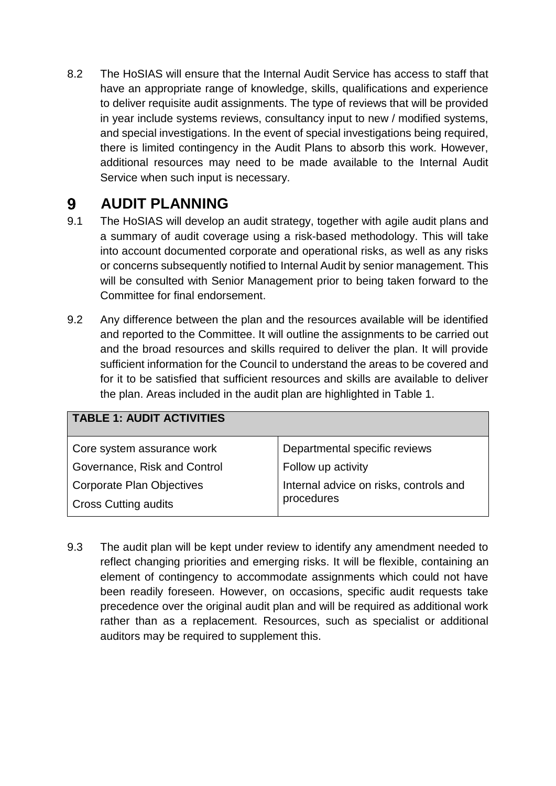8.2 The HoSIAS will ensure that the Internal Audit Service has access to staff that have an appropriate range of knowledge, skills, qualifications and experience to deliver requisite audit assignments. The type of reviews that will be provided in year include systems reviews, consultancy input to new / modified systems, and special investigations. In the event of special investigations being required, there is limited contingency in the Audit Plans to absorb this work. However, additional resources may need to be made available to the Internal Audit Service when such input is necessary.

#### $9<sup>°</sup>$ **AUDIT PLANNING**

- 9.1 The HoSIAS will develop an audit strategy, together with agile audit plans and a summary of audit coverage using a risk-based methodology. This will take into account documented corporate and operational risks, as well as any risks or concerns subsequently notified to Internal Audit by senior management. This will be consulted with Senior Management prior to being taken forward to the Committee for final endorsement.
- 9.2 Any difference between the plan and the resources available will be identified and reported to the Committee. It will outline the assignments to be carried out and the broad resources and skills required to deliver the plan. It will provide sufficient information for the Council to understand the areas to be covered and for it to be satisfied that sufficient resources and skills are available to deliver the plan. Areas included in the audit plan are highlighted in Table 1.

| TABLE 1: AUDIT ACTIVITIES        |                                        |
|----------------------------------|----------------------------------------|
| Core system assurance work       | Departmental specific reviews          |
| Governance, Risk and Control     | Follow up activity                     |
| <b>Corporate Plan Objectives</b> | Internal advice on risks, controls and |
| <b>Cross Cutting audits</b>      | procedures                             |

9.3 The audit plan will be kept under review to identify any amendment needed to reflect changing priorities and emerging risks. It will be flexible, containing an element of contingency to accommodate assignments which could not have been readily foreseen. However, on occasions, specific audit requests take precedence over the original audit plan and will be required as additional work rather than as a replacement. Resources, such as specialist or additional auditors may be required to supplement this.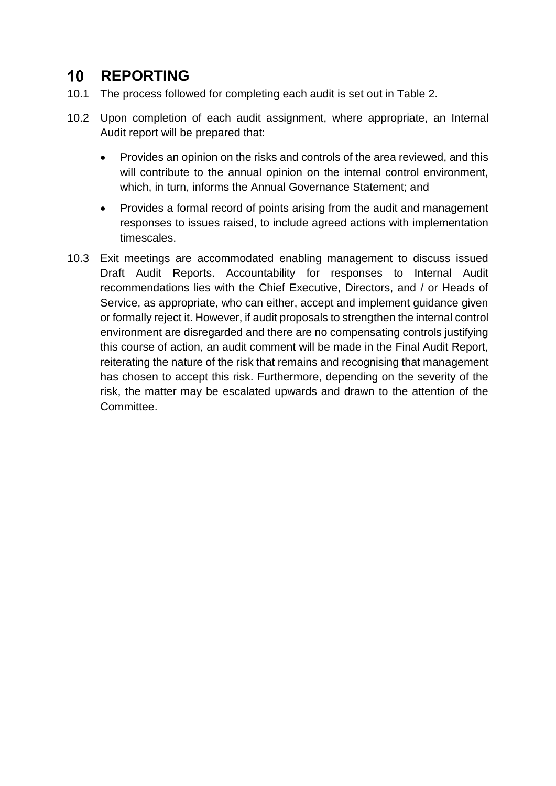#### $10<sup>°</sup>$ **REPORTING**

- 10.1 The process followed for completing each audit is set out in Table 2.
- 10.2 Upon completion of each audit assignment, where appropriate, an Internal Audit report will be prepared that:
	- Provides an opinion on the risks and controls of the area reviewed, and this will contribute to the annual opinion on the internal control environment, which, in turn, informs the Annual Governance Statement; and
	- Provides a formal record of points arising from the audit and management responses to issues raised, to include agreed actions with implementation timescales.
- 10.3 Exit meetings are accommodated enabling management to discuss issued Draft Audit Reports. Accountability for responses to Internal Audit recommendations lies with the Chief Executive, Directors, and / or Heads of Service, as appropriate, who can either, accept and implement guidance given or formally reject it. However, if audit proposals to strengthen the internal control environment are disregarded and there are no compensating controls justifying this course of action, an audit comment will be made in the Final Audit Report, reiterating the nature of the risk that remains and recognising that management has chosen to accept this risk. Furthermore, depending on the severity of the risk, the matter may be escalated upwards and drawn to the attention of the **Committee.**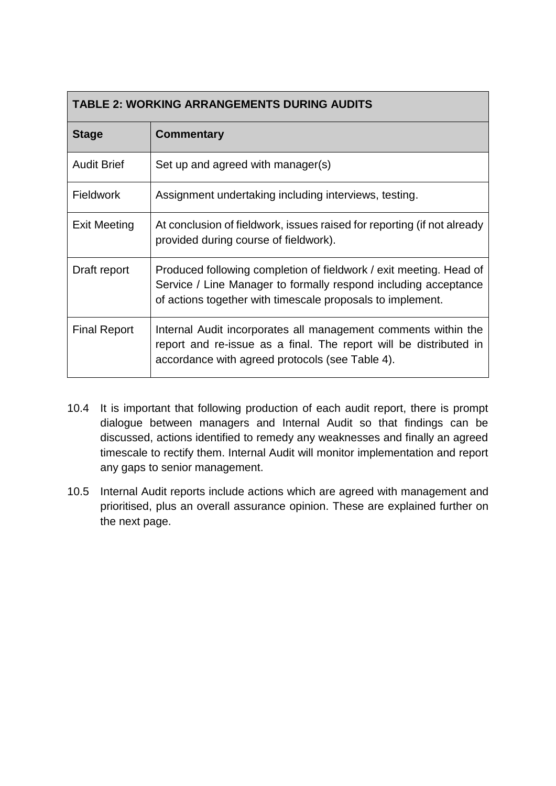| <b>TABLE 2: WORKING ARRANGEMENTS DURING AUDITS</b> |                                                                                                                                                                                                     |
|----------------------------------------------------|-----------------------------------------------------------------------------------------------------------------------------------------------------------------------------------------------------|
| <b>Stage</b>                                       | <b>Commentary</b>                                                                                                                                                                                   |
| <b>Audit Brief</b>                                 | Set up and agreed with manager(s)                                                                                                                                                                   |
| <b>Fieldwork</b>                                   | Assignment undertaking including interviews, testing.                                                                                                                                               |
| <b>Exit Meeting</b>                                | At conclusion of fieldwork, issues raised for reporting (if not already<br>provided during course of fieldwork).                                                                                    |
| Draft report                                       | Produced following completion of fieldwork / exit meeting. Head of<br>Service / Line Manager to formally respond including acceptance<br>of actions together with timescale proposals to implement. |
| <b>Final Report</b>                                | Internal Audit incorporates all management comments within the<br>report and re-issue as a final. The report will be distributed in<br>accordance with agreed protocols (see Table 4).              |

- 10.4 It is important that following production of each audit report, there is prompt dialogue between managers and Internal Audit so that findings can be discussed, actions identified to remedy any weaknesses and finally an agreed timescale to rectify them. Internal Audit will monitor implementation and report any gaps to senior management.
- 10.5 Internal Audit reports include actions which are agreed with management and prioritised, plus an overall assurance opinion. These are explained further on the next page.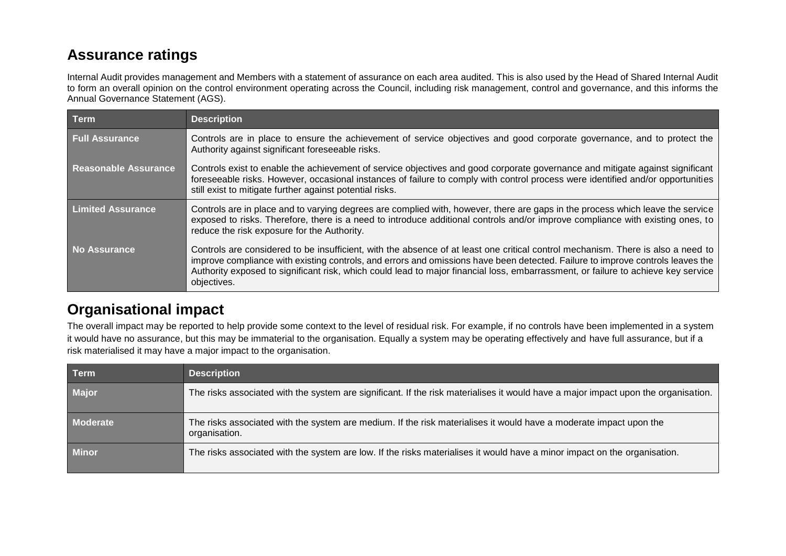### **Assurance ratings**

Internal Audit provides management and Members with a statement of assurance on each area audited. This is also used by the Head of Shared Internal Audit to form an overall opinion on the control environment operating across the Council, including risk management, control and governance, and this informs the Annual Governance Statement (AGS).

| <b>Term</b>                 | <b>Description</b>                                                                                                                                                                                                                                                                                                                                                                                                     |
|-----------------------------|------------------------------------------------------------------------------------------------------------------------------------------------------------------------------------------------------------------------------------------------------------------------------------------------------------------------------------------------------------------------------------------------------------------------|
| <b>Full Assurance</b>       | Controls are in place to ensure the achievement of service objectives and good corporate governance, and to protect the<br>Authority against significant foreseeable risks.                                                                                                                                                                                                                                            |
| <b>Reasonable Assurance</b> | Controls exist to enable the achievement of service objectives and good corporate governance and mitigate against significant<br>foreseeable risks. However, occasional instances of failure to comply with control process were identified and/or opportunities<br>still exist to mitigate further against potential risks.                                                                                           |
| <b>Limited Assurance</b>    | Controls are in place and to varying degrees are complied with, however, there are gaps in the process which leave the service<br>exposed to risks. Therefore, there is a need to introduce additional controls and/or improve compliance with existing ones, to<br>reduce the risk exposure for the Authority.                                                                                                        |
| <b>No Assurance</b>         | Controls are considered to be insufficient, with the absence of at least one critical control mechanism. There is also a need to<br>improve compliance with existing controls, and errors and omissions have been detected. Failure to improve controls leaves the<br>Authority exposed to significant risk, which could lead to major financial loss, embarrassment, or failure to achieve key service<br>objectives. |

### **Organisational impact**

The overall impact may be reported to help provide some context to the level of residual risk. For example, if no controls have been implemented in a system it would have no assurance, but this may be immaterial to the organisation. Equally a system may be operating effectively and have full assurance, but if a risk materialised it may have a major impact to the organisation.

| <b>Term</b>  | <b>Description</b>                                                                                                                  |
|--------------|-------------------------------------------------------------------------------------------------------------------------------------|
| <b>Major</b> | The risks associated with the system are significant. If the risk materialises it would have a major impact upon the organisation.  |
| Moderate     | The risks associated with the system are medium. If the risk materialises it would have a moderate impact upon the<br>organisation. |
| <b>Minor</b> | The risks associated with the system are low. If the risks materialises it would have a minor impact on the organisation.           |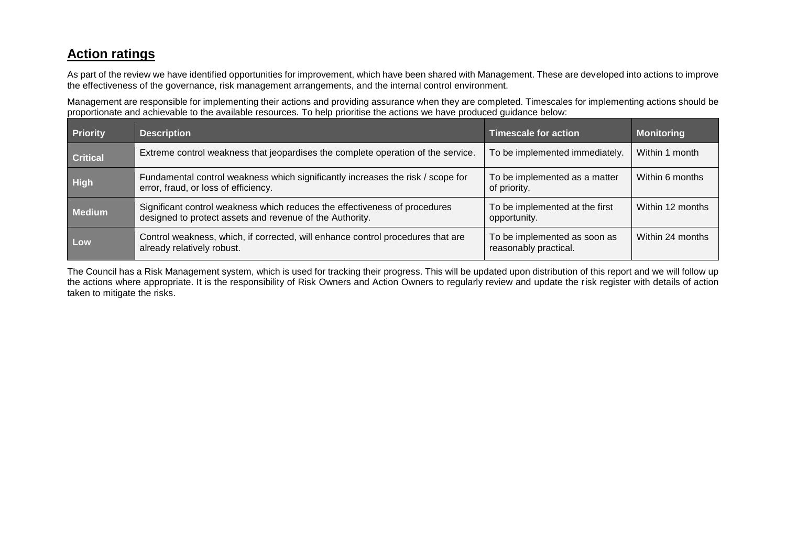### **Action ratings**

As part of the review we have identified opportunities for improvement, which have been shared with Management. These are developed into actions to improve the effectiveness of the governance, risk management arrangements, and the internal control environment.

Management are responsible for implementing their actions and providing assurance when they are completed. Timescales for implementing actions should be proportionate and achievable to the available resources. To help prioritise the actions we have produced guidance below:

| <b>Priority</b> | <b>Description</b>                                                                                                                     | <b>Timescale for action</b>                           | <b>Monitoring</b> |
|-----------------|----------------------------------------------------------------------------------------------------------------------------------------|-------------------------------------------------------|-------------------|
| <b>Critical</b> | Extreme control weakness that jeopardises the complete operation of the service.                                                       | To be implemented immediately.                        | Within 1 month    |
| <b>High</b>     | Fundamental control weakness which significantly increases the risk / scope for<br>error, fraud, or loss of efficiency.                | To be implemented as a matter<br>of priority.         | Within 6 months   |
| <b>Medium</b>   | Significant control weakness which reduces the effectiveness of procedures<br>designed to protect assets and revenue of the Authority. | To be implemented at the first<br>opportunity.        | Within 12 months  |
| Low             | Control weakness, which, if corrected, will enhance control procedures that are<br>already relatively robust.                          | To be implemented as soon as<br>reasonably practical. | Within 24 months  |

The Council has a Risk Management system, which is used for tracking their progress. This will be updated upon distribution of this report and we will follow up the actions where appropriate. It is the responsibility of Risk Owners and Action Owners to regularly review and update the risk register with details of action taken to mitigate the risks.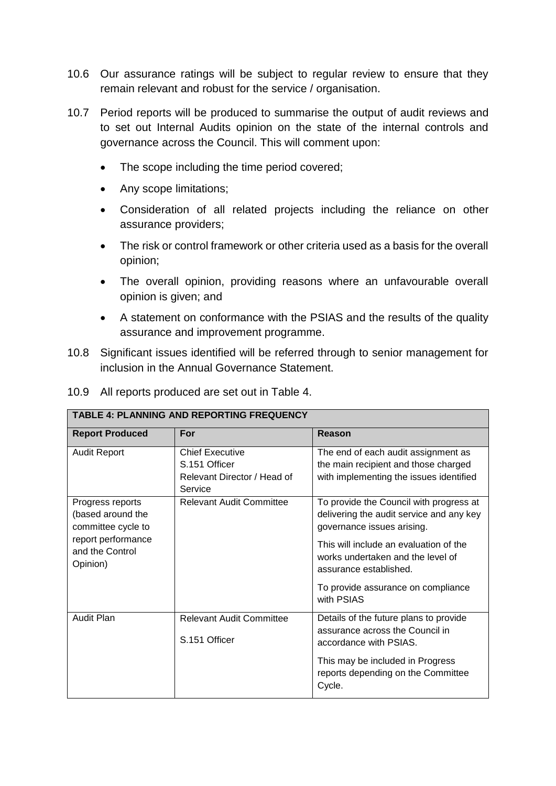- 10.6 Our assurance ratings will be subject to regular review to ensure that they remain relevant and robust for the service / organisation.
- 10.7 Period reports will be produced to summarise the output of audit reviews and to set out Internal Audits opinion on the state of the internal controls and governance across the Council. This will comment upon:
	- The scope including the time period covered;
	- Any scope limitations;
	- Consideration of all related projects including the reliance on other assurance providers;
	- The risk or control framework or other criteria used as a basis for the overall opinion;
	- The overall opinion, providing reasons where an unfavourable overall opinion is given; and
	- A statement on conformance with the PSIAS and the results of the quality assurance and improvement programme.
- 10.8 Significant issues identified will be referred through to senior management for inclusion in the Annual Governance Statement.

|  |  | 10.9 All reports produced are set out in Table 4. |  |  |
|--|--|---------------------------------------------------|--|--|
|--|--|---------------------------------------------------|--|--|

| <b>Report Produced</b> | For                             | Reason                                   |
|------------------------|---------------------------------|------------------------------------------|
| <b>Audit Report</b>    | <b>Chief Executive</b>          | The end of each audit assignment as      |
|                        | S.151 Officer                   | the main recipient and those charged     |
|                        | Relevant Director / Head of     | with implementing the issues identified  |
|                        | Service                         |                                          |
| Progress reports       | <b>Relevant Audit Committee</b> | To provide the Council with progress at  |
| (based around the      |                                 | delivering the audit service and any key |
| committee cycle to     |                                 | governance issues arising.               |
| report performance     |                                 | This will include an evaluation of the   |
| and the Control        |                                 | works undertaken and the level of        |
| Opinion)               |                                 | assurance established.                   |
|                        |                                 |                                          |
|                        |                                 | To provide assurance on compliance       |
|                        |                                 | with PSIAS                               |
| <b>Audit Plan</b>      | <b>Relevant Audit Committee</b> | Details of the future plans to provide   |
|                        |                                 | assurance across the Council in          |
|                        | S.151 Officer                   | accordance with PSIAS.                   |
|                        |                                 |                                          |
|                        |                                 | This may be included in Progress         |
|                        |                                 | reports depending on the Committee       |
|                        |                                 | Cycle.                                   |

**TABLE 4: PLANNING AND REPORTING FREQUENCY**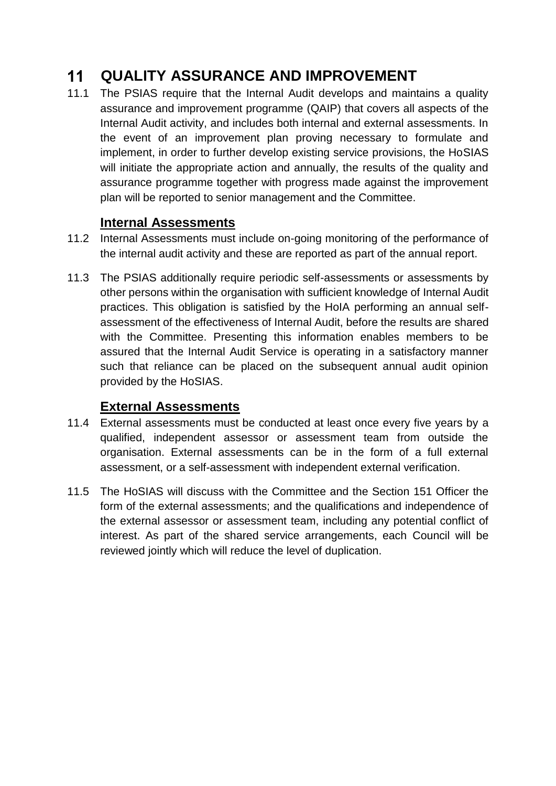#### $11$ **QUALITY ASSURANCE AND IMPROVEMENT**

11.1 The PSIAS require that the Internal Audit develops and maintains a quality assurance and improvement programme (QAIP) that covers all aspects of the Internal Audit activity, and includes both internal and external assessments. In the event of an improvement plan proving necessary to formulate and implement, in order to further develop existing service provisions, the HoSIAS will initiate the appropriate action and annually, the results of the quality and assurance programme together with progress made against the improvement plan will be reported to senior management and the Committee.

### **Internal Assessments**

- 11.2 Internal Assessments must include on-going monitoring of the performance of the internal audit activity and these are reported as part of the annual report.
- 11.3 The PSIAS additionally require periodic self-assessments or assessments by other persons within the organisation with sufficient knowledge of Internal Audit practices. This obligation is satisfied by the HoIA performing an annual selfassessment of the effectiveness of Internal Audit, before the results are shared with the Committee. Presenting this information enables members to be assured that the Internal Audit Service is operating in a satisfactory manner such that reliance can be placed on the subsequent annual audit opinion provided by the HoSIAS.

### **External Assessments**

- 11.4 External assessments must be conducted at least once every five years by a qualified, independent assessor or assessment team from outside the organisation. External assessments can be in the form of a full external assessment, or a self-assessment with independent external verification.
- 11.5 The HoSIAS will discuss with the Committee and the Section 151 Officer the form of the external assessments; and the qualifications and independence of the external assessor or assessment team, including any potential conflict of interest. As part of the shared service arrangements, each Council will be reviewed jointly which will reduce the level of duplication.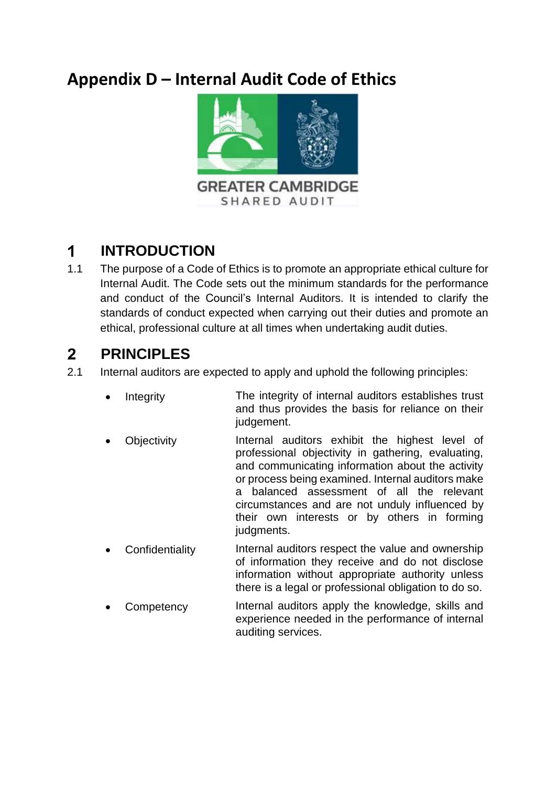# **Appendix D – Internal Audit Code of Ethics**



#### $\mathbf 1$ **INTRODUCTION**

1.1 The purpose of a Code of Ethics is to promote an appropriate ethical culture for Internal Audit. The Code sets out the minimum standards for the performance and conduct of the Council's Internal Auditors. It is intended to clarify the standards of conduct expected when carrying out their duties and promote an ethical, professional culture at all times when undertaking audit duties.

#### $2<sup>1</sup>$ **PRINCIPLES**

- 2.1 Internal auditors are expected to apply and uphold the following principles:
	- Integrity The integrity of internal auditors establishes trust and thus provides the basis for reliance on their judgement.
	- Objectivity Internal auditors exhibit the highest level of professional objectivity in gathering, evaluating, and communicating information about the activity or process being examined. Internal auditors make a balanced assessment of all the relevant circumstances and are not unduly influenced by their own interests or by others in forming judaments.
	- Confidentiality Internal auditors respect the value and ownership of information they receive and do not disclose information without appropriate authority unless there is a legal or professional obligation to do so.
	- Competency Internal auditors apply the knowledge, skills and experience needed in the performance of internal auditing services.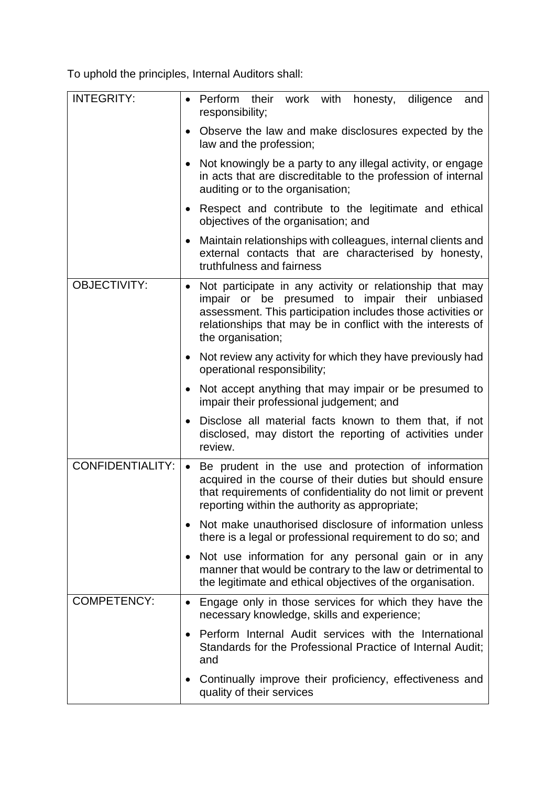To uphold the principles, Internal Auditors shall:

| <b>INTEGRITY:</b>       | responsibility;                                            | Perform their work with honesty, diligence<br>and                                                                                                                                                  |
|-------------------------|------------------------------------------------------------|----------------------------------------------------------------------------------------------------------------------------------------------------------------------------------------------------|
|                         | law and the profession;                                    | Observe the law and make disclosures expected by the                                                                                                                                               |
|                         | auditing or to the organisation;                           | Not knowingly be a party to any illegal activity, or engage<br>in acts that are discreditable to the profession of internal                                                                        |
|                         | objectives of the organisation; and                        | Respect and contribute to the legitimate and ethical                                                                                                                                               |
|                         | truthfulness and fairness                                  | Maintain relationships with colleagues, internal clients and<br>external contacts that are characterised by honesty,                                                                               |
| <b>OBJECTIVITY:</b>     | impair or be presumed to impair their<br>the organisation; | Not participate in any activity or relationship that may<br>unbiased<br>assessment. This participation includes those activities or<br>relationships that may be in conflict with the interests of |
|                         | operational responsibility;                                | • Not review any activity for which they have previously had                                                                                                                                       |
|                         | impair their professional judgement; and                   | Not accept anything that may impair or be presumed to                                                                                                                                              |
|                         | review.                                                    | Disclose all material facts known to them that, if not<br>disclosed, may distort the reporting of activities under                                                                                 |
| <b>CONFIDENTIALITY:</b> | reporting within the authority as appropriate;             | Be prudent in the use and protection of information<br>acquired in the course of their duties but should ensure<br>that requirements of confidentiality do not limit or prevent                    |
|                         |                                                            | Not make unauthorised disclosure of information unless<br>there is a legal or professional requirement to do so; and                                                                               |
|                         |                                                            | Not use information for any personal gain or in any<br>manner that would be contrary to the law or detrimental to<br>the legitimate and ethical objectives of the organisation.                    |
| <b>COMPETENCY:</b>      | necessary knowledge, skills and experience;                | Engage only in those services for which they have the                                                                                                                                              |
|                         | and                                                        | Perform Internal Audit services with the International<br>Standards for the Professional Practice of Internal Audit;                                                                               |
|                         | quality of their services                                  | Continually improve their proficiency, effectiveness and                                                                                                                                           |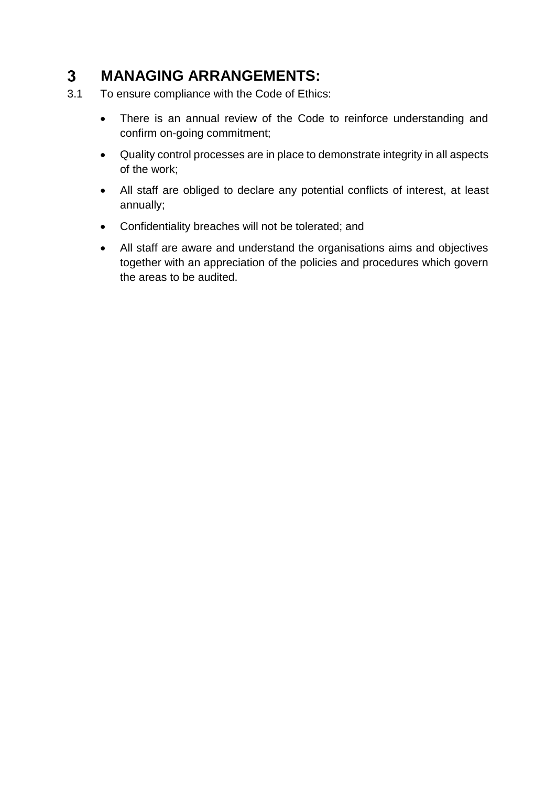#### $3<sup>1</sup>$ **MANAGING ARRANGEMENTS:**

- 3.1 To ensure compliance with the Code of Ethics:
	- There is an annual review of the Code to reinforce understanding and confirm on-going commitment;
	- Quality control processes are in place to demonstrate integrity in all aspects of the work;
	- All staff are obliged to declare any potential conflicts of interest, at least annually;
	- Confidentiality breaches will not be tolerated; and
	- All staff are aware and understand the organisations aims and objectives together with an appreciation of the policies and procedures which govern the areas to be audited.